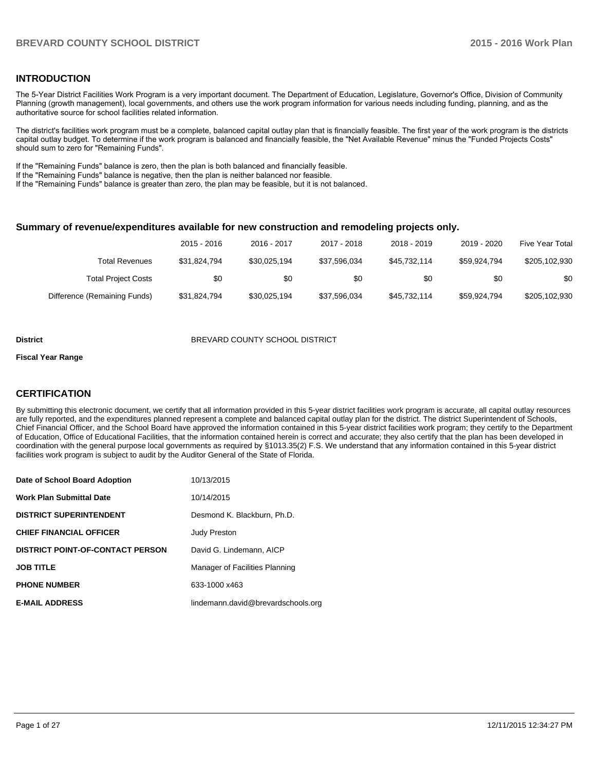#### **INTRODUCTION**

The 5-Year District Facilities Work Program is a very important document. The Department of Education, Legislature, Governor's Office, Division of Community Planning (growth management), local governments, and others use the work program information for various needs including funding, planning, and as the authoritative source for school facilities related information.

The district's facilities work program must be a complete, balanced capital outlay plan that is financially feasible. The first year of the work program is the districts capital outlay budget. To determine if the work program is balanced and financially feasible, the "Net Available Revenue" minus the "Funded Projects Costs" should sum to zero for "Remaining Funds".

If the "Remaining Funds" balance is zero, then the plan is both balanced and financially feasible.

If the "Remaining Funds" balance is negative, then the plan is neither balanced nor feasible.

If the "Remaining Funds" balance is greater than zero, the plan may be feasible, but it is not balanced.

#### **Summary of revenue/expenditures available for new construction and remodeling projects only.**

|                              | 2015 - 2016  | 2016 - 2017  | 2017 - 2018  | 2018 - 2019  | 2019 - 2020  | Five Year Total |
|------------------------------|--------------|--------------|--------------|--------------|--------------|-----------------|
| <b>Total Revenues</b>        | \$31.824.794 | \$30.025.194 | \$37.596.034 | \$45.732.114 | \$59.924.794 | \$205,102,930   |
| <b>Total Project Costs</b>   | \$0          | \$0          | \$0          | \$0          | \$0          | \$0             |
| Difference (Remaining Funds) | \$31,824,794 | \$30,025,194 | \$37,596,034 | \$45,732,114 | \$59,924,794 | \$205,102,930   |

#### **District** BREVARD COUNTY SCHOOL DISTRICT

#### **Fiscal Year Range**

#### **CERTIFICATION**

By submitting this electronic document, we certify that all information provided in this 5-year district facilities work program is accurate, all capital outlay resources are fully reported, and the expenditures planned represent a complete and balanced capital outlay plan for the district. The district Superintendent of Schools, Chief Financial Officer, and the School Board have approved the information contained in this 5-year district facilities work program; they certify to the Department of Education, Office of Educational Facilities, that the information contained herein is correct and accurate; they also certify that the plan has been developed in coordination with the general purpose local governments as required by §1013.35(2) F.S. We understand that any information contained in this 5-year district facilities work program is subject to audit by the Auditor General of the State of Florida.

| Date of School Board Adoption           | 10/13/2015                         |
|-----------------------------------------|------------------------------------|
| Work Plan Submittal Date                | 10/14/2015                         |
| <b>DISTRICT SUPERINTENDENT</b>          | Desmond K. Blackburn, Ph.D.        |
| <b>CHIEF FINANCIAL OFFICER</b>          | <b>Judy Preston</b>                |
| <b>DISTRICT POINT-OF-CONTACT PERSON</b> | David G. Lindemann, AICP           |
| <b>JOB TITLE</b>                        | Manager of Facilities Planning     |
| <b>PHONE NUMBER</b>                     | 633-1000 x463                      |
| <b>E-MAIL ADDRESS</b>                   | lindemann.david@brevardschools.org |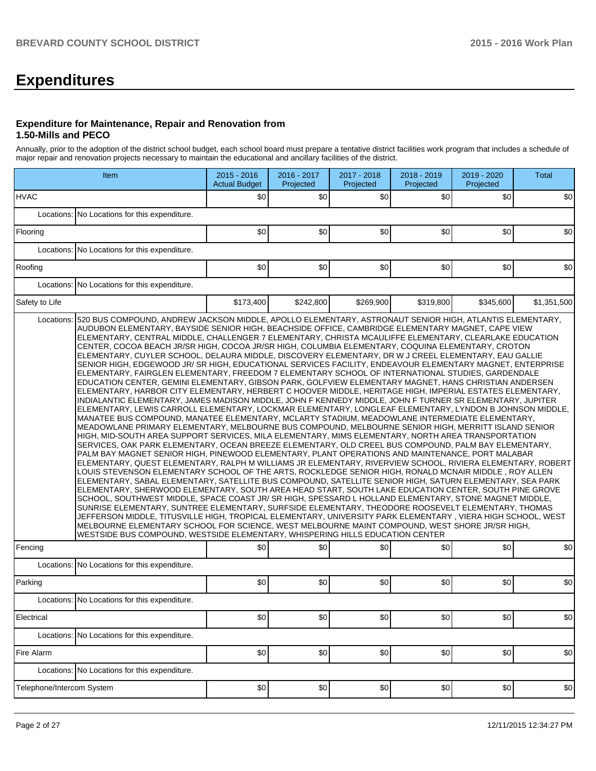# **Expenditures**

#### **Expenditure for Maintenance, Repair and Renovation from 1.50-Mills and PECO**

Annually, prior to the adoption of the district school budget, each school board must prepare a tentative district facilities work program that includes a schedule of major repair and renovation projects necessary to maintain the educational and ancillary facilities of the district.

|                           | Item                                                                                                                                                                                                                                                                                                                                                                                                                                                                                                                                                                                                                                                                                                                                                                                                                                                                                                                                                                                                                                                                                                                                                                                                                                                                                                                                                                                                                                                                                                                                                                                                                                                                                                                                                                                                                                                                                                                                                                                                                                                                                                                                                                                                                                                                                                                                                                                                                                                                                                                                                                                                                                                                                                   | 2015 - 2016<br><b>Actual Budget</b> | 2016 - 2017<br>Projected | 2017 - 2018<br>Projected | 2018 - 2019<br>Projected | 2019 - 2020<br>Projected | <b>Total</b> |
|---------------------------|--------------------------------------------------------------------------------------------------------------------------------------------------------------------------------------------------------------------------------------------------------------------------------------------------------------------------------------------------------------------------------------------------------------------------------------------------------------------------------------------------------------------------------------------------------------------------------------------------------------------------------------------------------------------------------------------------------------------------------------------------------------------------------------------------------------------------------------------------------------------------------------------------------------------------------------------------------------------------------------------------------------------------------------------------------------------------------------------------------------------------------------------------------------------------------------------------------------------------------------------------------------------------------------------------------------------------------------------------------------------------------------------------------------------------------------------------------------------------------------------------------------------------------------------------------------------------------------------------------------------------------------------------------------------------------------------------------------------------------------------------------------------------------------------------------------------------------------------------------------------------------------------------------------------------------------------------------------------------------------------------------------------------------------------------------------------------------------------------------------------------------------------------------------------------------------------------------------------------------------------------------------------------------------------------------------------------------------------------------------------------------------------------------------------------------------------------------------------------------------------------------------------------------------------------------------------------------------------------------------------------------------------------------------------------------------------------------|-------------------------------------|--------------------------|--------------------------|--------------------------|--------------------------|--------------|
| <b>HVAC</b>               |                                                                                                                                                                                                                                                                                                                                                                                                                                                                                                                                                                                                                                                                                                                                                                                                                                                                                                                                                                                                                                                                                                                                                                                                                                                                                                                                                                                                                                                                                                                                                                                                                                                                                                                                                                                                                                                                                                                                                                                                                                                                                                                                                                                                                                                                                                                                                                                                                                                                                                                                                                                                                                                                                                        | \$0                                 | \$0                      | \$0                      | \$0                      | \$0                      | \$0          |
|                           | Locations: No Locations for this expenditure.                                                                                                                                                                                                                                                                                                                                                                                                                                                                                                                                                                                                                                                                                                                                                                                                                                                                                                                                                                                                                                                                                                                                                                                                                                                                                                                                                                                                                                                                                                                                                                                                                                                                                                                                                                                                                                                                                                                                                                                                                                                                                                                                                                                                                                                                                                                                                                                                                                                                                                                                                                                                                                                          |                                     |                          |                          |                          |                          |              |
| Flooring                  |                                                                                                                                                                                                                                                                                                                                                                                                                                                                                                                                                                                                                                                                                                                                                                                                                                                                                                                                                                                                                                                                                                                                                                                                                                                                                                                                                                                                                                                                                                                                                                                                                                                                                                                                                                                                                                                                                                                                                                                                                                                                                                                                                                                                                                                                                                                                                                                                                                                                                                                                                                                                                                                                                                        | \$0                                 | \$0                      | \$0                      | \$0                      | \$0                      | \$0          |
|                           | Locations: No Locations for this expenditure.                                                                                                                                                                                                                                                                                                                                                                                                                                                                                                                                                                                                                                                                                                                                                                                                                                                                                                                                                                                                                                                                                                                                                                                                                                                                                                                                                                                                                                                                                                                                                                                                                                                                                                                                                                                                                                                                                                                                                                                                                                                                                                                                                                                                                                                                                                                                                                                                                                                                                                                                                                                                                                                          |                                     |                          |                          |                          |                          |              |
| Roofing                   |                                                                                                                                                                                                                                                                                                                                                                                                                                                                                                                                                                                                                                                                                                                                                                                                                                                                                                                                                                                                                                                                                                                                                                                                                                                                                                                                                                                                                                                                                                                                                                                                                                                                                                                                                                                                                                                                                                                                                                                                                                                                                                                                                                                                                                                                                                                                                                                                                                                                                                                                                                                                                                                                                                        | \$0                                 | \$0                      | \$0                      | \$0                      | \$0                      | \$0          |
|                           | Locations: No Locations for this expenditure.                                                                                                                                                                                                                                                                                                                                                                                                                                                                                                                                                                                                                                                                                                                                                                                                                                                                                                                                                                                                                                                                                                                                                                                                                                                                                                                                                                                                                                                                                                                                                                                                                                                                                                                                                                                                                                                                                                                                                                                                                                                                                                                                                                                                                                                                                                                                                                                                                                                                                                                                                                                                                                                          |                                     |                          |                          |                          |                          |              |
| Safety to Life            |                                                                                                                                                                                                                                                                                                                                                                                                                                                                                                                                                                                                                                                                                                                                                                                                                                                                                                                                                                                                                                                                                                                                                                                                                                                                                                                                                                                                                                                                                                                                                                                                                                                                                                                                                                                                                                                                                                                                                                                                                                                                                                                                                                                                                                                                                                                                                                                                                                                                                                                                                                                                                                                                                                        | \$173,400                           | \$242,800                | \$269,900                | \$319,800                | \$345,600                | \$1,351,500  |
|                           | Locations: 520 BUS COMPOUND, ANDREW JACKSON MIDDLE, APOLLO ELEMENTARY, ASTRONAUT SENIOR HIGH, ATLANTIS ELEMENTARY,<br>AUDUBON ELEMENTARY, BAYSIDE SENIOR HIGH, BEACHSIDE OFFICE, CAMBRIDGE ELEMENTARY MAGNET, CAPE VIEW<br>ELEMENTARY, CENTRAL MIDDLE, CHALLENGER 7 ELEMENTARY, CHRISTA MCAULIFFE ELEMENTARY, CLEARLAKE EDUCATION<br>CENTER, COCOA BEACH JR/SR HIGH, COCOA JR/SR HIGH, COLUMBIA ELEMENTARY, COQUINA ELEMENTARY, CROTON<br>ELEMENTARY, CUYLER SCHOOL, DELAURA MIDDLE, DISCOVERY ELEMENTARY, DR W J CREEL ELEMENTARY, EAU GALLIE<br>SENIOR HIGH, EDGEWOOD JR/SR HIGH, EDUCATIONAL SERVICES FACILITY, ENDEAVOUR ELEMENTARY MAGNET, ENTERPRISE<br>ELEMENTARY, FAIRGLEN ELEMENTARY, FREEDOM 7 ELEMENTARY SCHOOL OF INTERNATIONAL STUDIES, GARDENDALE<br>EDUCATION CENTER, GEMINI ELEMENTARY, GIBSON PARK, GOLFVIEW ELEMENTARY MAGNET, HANS CHRISTIAN ANDERSEN<br>ELEMENTARY, HARBOR CITY ELEMENTARY, HERBERT C HOOVER MIDDLE, HERITAGE HIGH, IMPERIAL ESTATES ELEMENTARY,<br>INDIALANTIC ELEMENTARY, JAMES MADISON MIDDLE, JOHN F KENNEDY MIDDLE, JOHN F TURNER SR ELEMENTARY, JUPITER<br>ELEMENTARY, LEWIS CARROLL ELEMENTARY, LOCKMAR ELEMENTARY, LONGLEAF ELEMENTARY, LYNDON B JOHNSON MIDDLE,<br>MANATEE BUS COMPOUND, MANATEE ELEMENTARY, MCLARTY STADIUM, MEADOWLANE INTERMEDIATE ELEMENTARY,<br>MEADOWLANE PRIMARY ELEMENTARY, MELBOURNE BUS COMPOUND, MELBOURNE SENIOR HIGH, MERRITT ISLAND SENIOR<br>HIGH, MID-SOUTH AREA SUPPORT SERVICES, MILA ELEMENTARY, MIMS ELEMENTARY, NORTH AREA TRANSPORTATION<br>SERVICES, OAK PARK ELEMENTARY, OCEAN BREEZE ELEMENTARY, OLD CREEL BUS COMPOUND, PALM BAY ELEMENTARY,<br>PALM BAY MAGNET SENIOR HIGH, PINEWOOD ELEMENTARY, PLANT OPERATIONS AND MAINTENANCE, PORT MALABAR<br>ELEMENTARY, QUEST ELEMENTARY, RALPH M WILLIAMS JR ELEMENTARY, RIVERVIEW SCHOOL, RIVIERA ELEMENTARY, ROBERT<br>LOUIS STEVENSON ELEMENTARY SCHOOL OF THE ARTS, ROCKLEDGE SENIOR HIGH, RONALD MCNAIR MIDDLE, ROY ALLEN<br>ELEMENTARY, SABAL ELEMENTARY, SATELLITE BUS COMPOUND, SATELLITE SENIOR HIGH, SATURN ELEMENTARY, SEA PARK<br>ELEMENTARY, SHERWOOD ELEMENTARY, SOUTH AREA HEAD START, SOUTH LAKE EDUCATION CENTER, SOUTH PINE GROVE<br>SCHOOL, SOUTHWEST MIDDLE, SPACE COAST JR/ SR HIGH, SPESSARD L HOLLAND ELEMENTARY, STONE MAGNET MIDDLE,<br>SUNRISE ELEMENTARY, SUNTREE ELEMENTARY, SURFSIDE ELEMENTARY, THEODORE ROOSEVELT ELEMENTARY, THOMAS<br>JEFFERSON MIDDLE, TITUSVILLE HIGH, TROPICAL ELEMENTARY, UNIVERSITY PARK ELEMENTARY , VIERA HIGH SCHOOL, WEST<br>MELBOURNE ELEMENTARY SCHOOL FOR SCIENCE, WEST MELBOURNE MAINT COMPOUND, WEST SHORE JR/SR HIGH,<br>WESTSIDE BUS COMPOUND, WESTSIDE ELEMENTARY, WHISPERING HILLS EDUCATION CENTER |                                     |                          |                          |                          |                          |              |
| Fencing                   |                                                                                                                                                                                                                                                                                                                                                                                                                                                                                                                                                                                                                                                                                                                                                                                                                                                                                                                                                                                                                                                                                                                                                                                                                                                                                                                                                                                                                                                                                                                                                                                                                                                                                                                                                                                                                                                                                                                                                                                                                                                                                                                                                                                                                                                                                                                                                                                                                                                                                                                                                                                                                                                                                                        | \$0                                 | \$0                      | \$0                      | \$0                      | \$0                      | \$0          |
|                           | Locations: No Locations for this expenditure.                                                                                                                                                                                                                                                                                                                                                                                                                                                                                                                                                                                                                                                                                                                                                                                                                                                                                                                                                                                                                                                                                                                                                                                                                                                                                                                                                                                                                                                                                                                                                                                                                                                                                                                                                                                                                                                                                                                                                                                                                                                                                                                                                                                                                                                                                                                                                                                                                                                                                                                                                                                                                                                          |                                     |                          |                          |                          |                          |              |
| Parking                   |                                                                                                                                                                                                                                                                                                                                                                                                                                                                                                                                                                                                                                                                                                                                                                                                                                                                                                                                                                                                                                                                                                                                                                                                                                                                                                                                                                                                                                                                                                                                                                                                                                                                                                                                                                                                                                                                                                                                                                                                                                                                                                                                                                                                                                                                                                                                                                                                                                                                                                                                                                                                                                                                                                        | \$0                                 | \$0                      | \$0                      | \$0                      | \$0                      | \$0          |
|                           | Locations: No Locations for this expenditure.                                                                                                                                                                                                                                                                                                                                                                                                                                                                                                                                                                                                                                                                                                                                                                                                                                                                                                                                                                                                                                                                                                                                                                                                                                                                                                                                                                                                                                                                                                                                                                                                                                                                                                                                                                                                                                                                                                                                                                                                                                                                                                                                                                                                                                                                                                                                                                                                                                                                                                                                                                                                                                                          |                                     |                          |                          |                          |                          |              |
| Electrical                |                                                                                                                                                                                                                                                                                                                                                                                                                                                                                                                                                                                                                                                                                                                                                                                                                                                                                                                                                                                                                                                                                                                                                                                                                                                                                                                                                                                                                                                                                                                                                                                                                                                                                                                                                                                                                                                                                                                                                                                                                                                                                                                                                                                                                                                                                                                                                                                                                                                                                                                                                                                                                                                                                                        | \$0                                 | \$0                      | \$0                      | \$0                      | \$0                      | \$0          |
|                           | Locations: No Locations for this expenditure.                                                                                                                                                                                                                                                                                                                                                                                                                                                                                                                                                                                                                                                                                                                                                                                                                                                                                                                                                                                                                                                                                                                                                                                                                                                                                                                                                                                                                                                                                                                                                                                                                                                                                                                                                                                                                                                                                                                                                                                                                                                                                                                                                                                                                                                                                                                                                                                                                                                                                                                                                                                                                                                          |                                     |                          |                          |                          |                          |              |
| Fire Alarm                |                                                                                                                                                                                                                                                                                                                                                                                                                                                                                                                                                                                                                                                                                                                                                                                                                                                                                                                                                                                                                                                                                                                                                                                                                                                                                                                                                                                                                                                                                                                                                                                                                                                                                                                                                                                                                                                                                                                                                                                                                                                                                                                                                                                                                                                                                                                                                                                                                                                                                                                                                                                                                                                                                                        | \$0                                 | \$0                      | \$0                      | \$0                      | \$0                      | \$0          |
|                           | Locations: No Locations for this expenditure.                                                                                                                                                                                                                                                                                                                                                                                                                                                                                                                                                                                                                                                                                                                                                                                                                                                                                                                                                                                                                                                                                                                                                                                                                                                                                                                                                                                                                                                                                                                                                                                                                                                                                                                                                                                                                                                                                                                                                                                                                                                                                                                                                                                                                                                                                                                                                                                                                                                                                                                                                                                                                                                          |                                     |                          |                          |                          |                          |              |
| Telephone/Intercom System |                                                                                                                                                                                                                                                                                                                                                                                                                                                                                                                                                                                                                                                                                                                                                                                                                                                                                                                                                                                                                                                                                                                                                                                                                                                                                                                                                                                                                                                                                                                                                                                                                                                                                                                                                                                                                                                                                                                                                                                                                                                                                                                                                                                                                                                                                                                                                                                                                                                                                                                                                                                                                                                                                                        | \$0                                 | \$0                      | \$0                      | \$0                      | \$0                      | \$0          |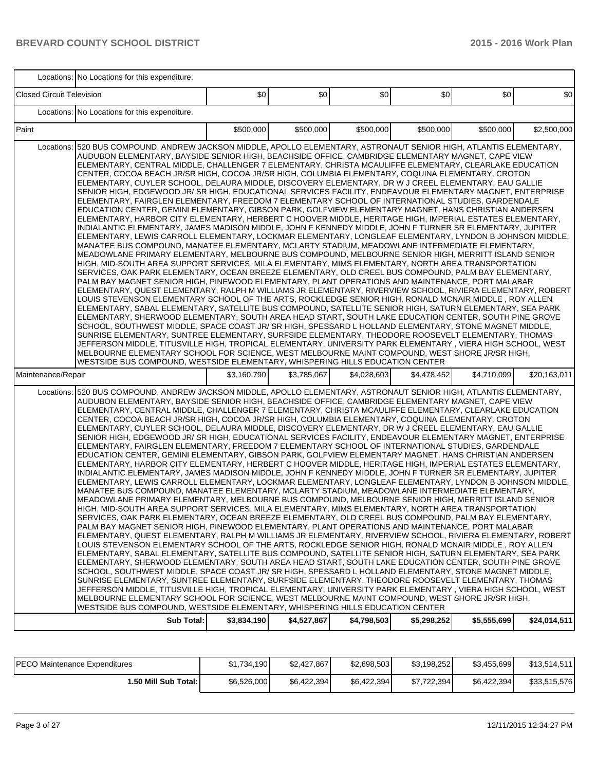|                                  | Locations: No Locations for this expenditure.                                                                                                                                                                                                                                                                                                                                                                                                                                                                                                                                                                                                                                                                                                                                                                                                                                                                                                                                                                                                                                                                                                                                                                                                                                                                                                                                                                                                                                                                                                                                                                                                                                                                                                                                                                                                                                                                                                                                                                                                                                                                                                                                                                                                                                                                                                                                                                                                                                                                                                                                                                                                                                                 |             |             |             |             |             |              |
|----------------------------------|-----------------------------------------------------------------------------------------------------------------------------------------------------------------------------------------------------------------------------------------------------------------------------------------------------------------------------------------------------------------------------------------------------------------------------------------------------------------------------------------------------------------------------------------------------------------------------------------------------------------------------------------------------------------------------------------------------------------------------------------------------------------------------------------------------------------------------------------------------------------------------------------------------------------------------------------------------------------------------------------------------------------------------------------------------------------------------------------------------------------------------------------------------------------------------------------------------------------------------------------------------------------------------------------------------------------------------------------------------------------------------------------------------------------------------------------------------------------------------------------------------------------------------------------------------------------------------------------------------------------------------------------------------------------------------------------------------------------------------------------------------------------------------------------------------------------------------------------------------------------------------------------------------------------------------------------------------------------------------------------------------------------------------------------------------------------------------------------------------------------------------------------------------------------------------------------------------------------------------------------------------------------------------------------------------------------------------------------------------------------------------------------------------------------------------------------------------------------------------------------------------------------------------------------------------------------------------------------------------------------------------------------------------------------------------------------------|-------------|-------------|-------------|-------------|-------------|--------------|
| <b>Closed Circuit Television</b> |                                                                                                                                                                                                                                                                                                                                                                                                                                                                                                                                                                                                                                                                                                                                                                                                                                                                                                                                                                                                                                                                                                                                                                                                                                                                                                                                                                                                                                                                                                                                                                                                                                                                                                                                                                                                                                                                                                                                                                                                                                                                                                                                                                                                                                                                                                                                                                                                                                                                                                                                                                                                                                                                                               | \$0         | \$0         | \$0         | \$0         | \$0         | \$0          |
|                                  | Locations: No Locations for this expenditure.                                                                                                                                                                                                                                                                                                                                                                                                                                                                                                                                                                                                                                                                                                                                                                                                                                                                                                                                                                                                                                                                                                                                                                                                                                                                                                                                                                                                                                                                                                                                                                                                                                                                                                                                                                                                                                                                                                                                                                                                                                                                                                                                                                                                                                                                                                                                                                                                                                                                                                                                                                                                                                                 |             |             |             |             |             |              |
| Paint                            |                                                                                                                                                                                                                                                                                                                                                                                                                                                                                                                                                                                                                                                                                                                                                                                                                                                                                                                                                                                                                                                                                                                                                                                                                                                                                                                                                                                                                                                                                                                                                                                                                                                                                                                                                                                                                                                                                                                                                                                                                                                                                                                                                                                                                                                                                                                                                                                                                                                                                                                                                                                                                                                                                               | \$500,000   | \$500,000   | \$500,000   | \$500,000   | \$500,000   | \$2,500,000  |
| Locations:                       | 520 BUS COMPOUND, ANDREW JACKSON MIDDLE, APOLLO ELEMENTARY, ASTRONAUT SENIOR HIGH, ATLANTIS ELEMENTARY,<br>AUDUBON ELEMENTARY, BAYSIDE SENIOR HIGH, BEACHSIDE OFFICE, CAMBRIDGE ELEMENTARY MAGNET, CAPE VIEW<br>ELEMENTARY, CENTRAL MIDDLE, CHALLENGER 7 ELEMENTARY, CHRISTA MCAULIFFE ELEMENTARY, CLEARLAKE EDUCATION<br>CENTER, COCOA BEACH JR/SR HIGH, COCOA JR/SR HIGH, COLUMBIA ELEMENTARY, COQUINA ELEMENTARY, CROTON<br>ELEMENTARY, CUYLER SCHOOL, DELAURA MIDDLE, DISCOVERY ELEMENTARY, DR W J CREEL ELEMENTARY, EAU GALLIE<br>SENIOR HIGH, EDGEWOOD JR/SR HIGH, EDUCATIONAL SERVICES FACILITY, ENDEAVOUR ELEMENTARY MAGNET, ENTERPRISE<br>ELEMENTARY, FAIRGLEN ELEMENTARY, FREEDOM 7 ELEMENTARY SCHOOL OF INTERNATIONAL STUDIES, GARDENDALE<br>EDUCATION CENTER, GEMINI ELEMENTARY, GIBSON PARK, GOLFVIEW ELEMENTARY MAGNET, HANS CHRISTIAN ANDERSEN<br>ELEMENTARY, HARBOR CITY ELEMENTARY, HERBERT C HOOVER MIDDLE, HERITAGE HIGH, IMPERIAL ESTATES ELEMENTARY,<br>INDIALANTIC ELEMENTARY, JAMES MADISON MIDDLE, JOHN F KENNEDY MIDDLE, JOHN F TURNER SR ELEMENTARY, JUPITER<br>ELEMENTARY, LEWIS CARROLL ELEMENTARY, LOCKMAR ELEMENTARY, LONGLEAF ELEMENTARY, LYNDON B JOHNSON MIDDLE,<br>MANATEE BUS COMPOUND, MANATEE ELEMENTARY, MCLARTY STADIUM, MEADOWLANE INTERMEDIATE ELEMENTARY,<br>MEADOWLANE PRIMARY ELEMENTARY, MELBOURNE BUS COMPOUND, MELBOURNE SENIOR HIGH, MERRITT ISLAND SENIOR<br>HIGH, MID-SOUTH AREA SUPPORT SERVICES, MILA ELEMENTARY, MIMS ELEMENTARY, NORTH AREA TRANSPORTATION<br>SERVICES, OAK PARK ELEMENTARY, OCEAN BREEZE ELEMENTARY, OLD CREEL BUS COMPOUND, PALM BAY ELEMENTARY,<br>PALM BAY MAGNET SENIOR HIGH, PINEWOOD ELEMENTARY, PLANT OPERATIONS AND MAINTENANCE, PORT MALABAR<br>ELEMENTARY, QUEST ELEMENTARY, RALPH M WILLIAMS JR ELEMENTARY, RIVERVIEW SCHOOL, RIVIERA ELEMENTARY, ROBERT<br>LOUIS STEVENSON ELEMENTARY SCHOOL OF THE ARTS, ROCKLEDGE SENIOR HIGH, RONALD MCNAIR MIDDLE , ROY ALLEN<br>ELEMENTARY, SABAL ELEMENTARY, SATELLITE BUS COMPOUND, SATELLITE SENIOR HIGH, SATURN ELEMENTARY, SEA PARK<br>ELEMENTARY, SHERWOOD ELEMENTARY, SOUTH AREA HEAD START, SOUTH LAKE EDUCATION CENTER, SOUTH PINE GROVE<br>SCHOOL, SOUTHWEST MIDDLE, SPACE COAST JR/ SR HIGH, SPESSARD L HOLLAND ELEMENTARY, STONE MAGNET MIDDLE,<br>SUNRISE ELEMENTARY, SUNTREE ELEMENTARY, SURFSIDE ELEMENTARY, THEODORE ROOSEVELT ELEMENTARY, THOMAS<br>JEFFERSON MIDDLE, TITUSVILLE HIGH, TROPICAL ELEMENTARY, UNIVERSITY PARK ELEMENTARY, VIERA HIGH SCHOOL, WEST<br>MELBOURNE ELEMENTARY SCHOOL FOR SCIENCE, WEST MELBOURNE MAINT COMPOUND, WEST SHORE JR/SR HIGH,<br>WESTSIDE BUS COMPOUND, WESTSIDE ELEMENTARY, WHISPERING HILLS EDUCATION CENTER   |             |             |             |             |             |              |
| Maintenance/Repair               |                                                                                                                                                                                                                                                                                                                                                                                                                                                                                                                                                                                                                                                                                                                                                                                                                                                                                                                                                                                                                                                                                                                                                                                                                                                                                                                                                                                                                                                                                                                                                                                                                                                                                                                                                                                                                                                                                                                                                                                                                                                                                                                                                                                                                                                                                                                                                                                                                                                                                                                                                                                                                                                                                               | \$3,160,790 | \$3,785,067 | \$4,028,603 | \$4,478,452 | \$4,710,099 | \$20,163,011 |
| Locations:                       | 520 BUS COMPOUND, ANDREW JACKSON MIDDLE, APOLLO ELEMENTARY, ASTRONAUT SENIOR HIGH, ATLANTIS ELEMENTARY,<br>AUDUBON ELEMENTARY, BAYSIDE SENIOR HIGH, BEACHSIDE OFFICE, CAMBRIDGE ELEMENTARY MAGNET, CAPE VIEW<br>ELEMENTARY, CENTRAL MIDDLE, CHALLENGER 7 ELEMENTARY, CHRISTA MCAULIFFE ELEMENTARY, CLEARLAKE EDUCATION<br>CENTER, COCOA BEACH JR/SR HIGH, COCOA JR/SR HIGH, COLUMBIA ELEMENTARY, COQUINA ELEMENTARY, CROTON<br>ELEMENTARY, CUYLER SCHOOL, DELAURA MIDDLE, DISCOVERY ELEMENTARY, DR W J CREEL ELEMENTARY, EAU GALLIE<br>SENIOR HIGH, EDGEWOOD JR/ SR HIGH, EDUCATIONAL SERVICES FACILITY, ENDEAVOUR ELEMENTARY MAGNET, ENTERPRISE<br>ELEMENTARY, FAIRGLEN ELEMENTARY, FREEDOM 7 ELEMENTARY SCHOOL OF INTERNATIONAL STUDIES, GARDENDALE<br>EDUCATION CENTER, GEMINI ELEMENTARY, GIBSON PARK, GOLFVIEW ELEMENTARY MAGNET, HANS CHRISTIAN ANDERSEN<br>ELEMENTARY, HARBOR CITY ELEMENTARY, HERBERT C HOOVER MIDDLE, HERITAGE HIGH, IMPERIAL ESTATES ELEMENTARY,<br>INDIALANTIC ELEMENTARY, JAMES MADISON MIDDLE, JOHN F KENNEDY MIDDLE, JOHN F TURNER SR ELEMENTARY, JUPITER<br>ELEMENTARY, LEWIS CARROLL ELEMENTARY, LOCKMAR ELEMENTARY, LONGLEAF ELEMENTARY, LYNDON B JOHNSON MIDDLE,<br>MANATEE BUS COMPOUND, MANATEE ELEMENTARY, MCLARTY STADIUM, MEADOWLANE INTERMEDIATE ELEMENTARY,<br>MEADOWLANE PRIMARY ELEMENTARY, MELBOURNE BUS COMPOUND, MELBOURNE SENIOR HIGH, MERRITT ISLAND SENIOR<br>HIGH, MID-SOUTH AREA SUPPORT SERVICES, MILA ELEMENTARY, MIMS ELEMENTARY, NORTH AREA TRANSPORTATION<br>SERVICES, OAK PARK ELEMENTARY, OCEAN BREEZE ELEMENTARY, OLD CREEL BUS COMPOUND, PALM BAY ELEMENTARY,<br>PALM BAY MAGNET SENIOR HIGH, PINEWOOD ELEMENTARY, PLANT OPERATIONS AND MAINTENANCE, PORT MALABAR<br>ELEMENTARY, QUEST ELEMENTARY, RALPH M WILLIAMS JR ELEMENTARY, RIVERVIEW SCHOOL, RIVIERA ELEMENTARY, ROBERT<br>LOUIS STEVENSON ELEMENTARY SCHOOL OF THE ARTS, ROCKLEDGE SENIOR HIGH, RONALD MCNAIR MIDDLE , ROY ALLEN<br>ELEMENTARY. SABAL ELEMENTARY. SATELLITE BUS COMPOUND. SATELLITE SENIOR HIGH. SATURN ELEMENTARY. SEA PARK<br>ELEMENTARY, SHERWOOD ELEMENTARY, SOUTH AREA HEAD START, SOUTH LAKE EDUCATION CENTER, SOUTH PINE GROVE<br>SCHOOL, SOUTHWEST MIDDLE, SPACE COAST JR/ SR HIGH, SPESSARD L HOLLAND ELEMENTARY, STONE MAGNET MIDDLE,<br>SUNRISE ELEMENTARY, SUNTREE ELEMENTARY, SURFSIDE ELEMENTARY, THEODORE ROOSEVELT ELEMENTARY, THOMAS<br>JEFFERSON MIDDLE, TITUSVILLE HIGH, TROPICAL ELEMENTARY, UNIVERSITY PARK ELEMENTARY , VIERA HIGH SCHOOL, WEST<br>MELBOURNE ELEMENTARY SCHOOL FOR SCIENCE, WEST MELBOURNE MAINT COMPOUND, WEST SHORE JR/SR HIGH,<br>WESTSIDE BUS COMPOUND, WESTSIDE ELEMENTARY, WHISPERING HILLS EDUCATION CENTER |             |             |             |             |             |              |
|                                  | <b>Sub Total:</b>                                                                                                                                                                                                                                                                                                                                                                                                                                                                                                                                                                                                                                                                                                                                                                                                                                                                                                                                                                                                                                                                                                                                                                                                                                                                                                                                                                                                                                                                                                                                                                                                                                                                                                                                                                                                                                                                                                                                                                                                                                                                                                                                                                                                                                                                                                                                                                                                                                                                                                                                                                                                                                                                             | \$3,834,190 | \$4,527,867 | \$4,798,503 | \$5,298,252 | \$5,555,699 | \$24,014,511 |

| <b>PECO Maintenance Expenditures</b> | \$1,734,190 | \$2.427.867 | \$2,698,503 | \$3,198,252 | \$3,455,699  | \$13,514,511 |
|--------------------------------------|-------------|-------------|-------------|-------------|--------------|--------------|
| 1.50 Mill Sub Total: I               | \$6,526,000 | \$6,422,394 | \$6,422,394 | \$7,722,394 | \$6,422,394] | \$33,515,576 |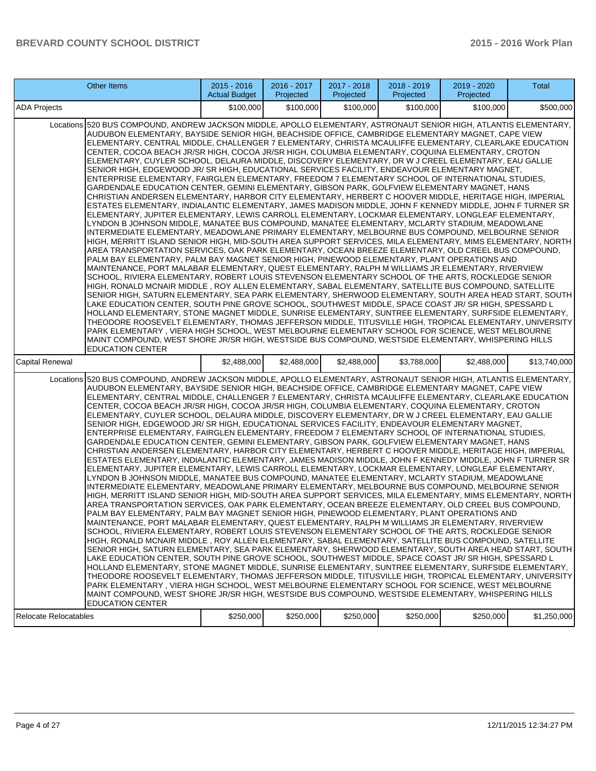| <b>Other Items</b>                                                                                                                                                                                                                                                                                                                                                                                                                                                                                                                                                                                                                                                                                                                                                                                                                                                                                                                                                                                                                                                                                                                                                                                                                                                                                                                                                                                                                                                                                                                                                                                                                                                                                                                                                                                                                                                                                                                                                                                                                                                                                                                                                                                                                                                                                                                                                                                                                                                                                                                                                                                                                                                                                              | $2015 - 2016$<br><b>Actual Budget</b> | 2016 - 2017<br>Projected | 2017 - 2018<br>Projected | 2018 - 2019<br>Projected | 2019 - 2020<br>Projected | Total        |
|-----------------------------------------------------------------------------------------------------------------------------------------------------------------------------------------------------------------------------------------------------------------------------------------------------------------------------------------------------------------------------------------------------------------------------------------------------------------------------------------------------------------------------------------------------------------------------------------------------------------------------------------------------------------------------------------------------------------------------------------------------------------------------------------------------------------------------------------------------------------------------------------------------------------------------------------------------------------------------------------------------------------------------------------------------------------------------------------------------------------------------------------------------------------------------------------------------------------------------------------------------------------------------------------------------------------------------------------------------------------------------------------------------------------------------------------------------------------------------------------------------------------------------------------------------------------------------------------------------------------------------------------------------------------------------------------------------------------------------------------------------------------------------------------------------------------------------------------------------------------------------------------------------------------------------------------------------------------------------------------------------------------------------------------------------------------------------------------------------------------------------------------------------------------------------------------------------------------------------------------------------------------------------------------------------------------------------------------------------------------------------------------------------------------------------------------------------------------------------------------------------------------------------------------------------------------------------------------------------------------------------------------------------------------------------------------------------------------|---------------------------------------|--------------------------|--------------------------|--------------------------|--------------------------|--------------|
| <b>ADA Projects</b>                                                                                                                                                                                                                                                                                                                                                                                                                                                                                                                                                                                                                                                                                                                                                                                                                                                                                                                                                                                                                                                                                                                                                                                                                                                                                                                                                                                                                                                                                                                                                                                                                                                                                                                                                                                                                                                                                                                                                                                                                                                                                                                                                                                                                                                                                                                                                                                                                                                                                                                                                                                                                                                                                             | \$100,000                             | \$100,000                | \$100,000                | \$100,000                | \$100,000                | \$500.000    |
| Locations 520 BUS COMPOUND, ANDREW JACKSON MIDDLE, APOLLO ELEMENTARY, ASTRONAUT SENIOR HIGH, ATLANTIS ELEMENTARY,<br>AUDUBON ELEMENTARY, BAYSIDE SENIOR HIGH, BEACHSIDE OFFICE, CAMBRIDGE ELEMENTARY MAGNET, CAPE VIEW<br>ELEMENTARY, CENTRAL MIDDLE, CHALLENGER 7 ELEMENTARY, CHRISTA MCAULIFFE ELEMENTARY, CLEARLAKE EDUCATION<br>CENTER, COCOA BEACH JR/SR HIGH, COCOA JR/SR HIGH, COLUMBIA ELEMENTARY, COQUINA ELEMENTARY, CROTON<br>ELEMENTARY, CUYLER SCHOOL, DELAURA MIDDLE, DISCOVERY ELEMENTARY, DR W J CREEL ELEMENTARY, EAU GALLIE<br>SENIOR HIGH, EDGEWOOD JR/SR HIGH, EDUCATIONAL SERVICES FACILITY, ENDEAVOUR ELEMENTARY MAGNET,<br>ENTERPRISE ELEMENTARY, FAIRGLEN ELEMENTARY, FREEDOM 7 ELEMENTARY SCHOOL OF INTERNATIONAL STUDIES,<br>GARDENDALE EDUCATION CENTER, GEMINI ELEMENTARY, GIBSON PARK, GOLFVIEW ELEMENTARY MAGNET, HANS<br>CHRISTIAN ANDERSEN ELEMENTARY, HARBOR CITY ELEMENTARY, HERBERT C HOOVER MIDDLE, HERITAGE HIGH, IMPERIAL<br>ESTATES ELEMENTARY, INDIALANTIC ELEMENTARY, JAMES MADISON MIDDLE, JOHN F KENNEDY MIDDLE, JOHN F TURNER SR<br>ELEMENTARY. JUPITER ELEMENTARY. LEWIS CARROLL ELEMENTARY. LOCKMAR ELEMENTARY. LONGLEAF ELEMENTARY.<br>LYNDON B JOHNSON MIDDLE, MANATEE BUS COMPOUND, MANATEE ELEMENTARY, MCLARTY STADIUM, MEADOWLANE<br>INTERMEDIATE ELEMENTARY, MEADOWLANE PRIMARY ELEMENTARY, MELBOURNE BUS COMPOUND, MELBOURNE SENIOR<br>HIGH, MERRITT ISLAND SENIOR HIGH, MID-SOUTH AREA SUPPORT SERVICES, MILA ELEMENTARY, MIMS ELEMENTARY, NORTH<br>AREA TRANSPORTATION SERVICES, OAK PARK ELEMENTARY, OCEAN BREEZE ELEMENTARY, OLD CREEL BUS COMPOUND,<br>PALM BAY ELEMENTARY, PALM BAY MAGNET SENIOR HIGH, PINEWOOD ELEMENTARY, PLANT OPERATIONS AND<br>MAINTENANCE, PORT MALABAR ELEMENTARY, QUEST ELEMENTARY, RALPH M WILLIAMS JR ELEMENTARY, RIVERVIEW<br>SCHOOL. RIVIERA ELEMENTARY. ROBERT LOUIS STEVENSON ELEMENTARY SCHOOL OF THE ARTS. ROCKLEDGE SENIOR<br>HIGH, RONALD MCNAIR MIDDLE, ROY ALLEN ELEMENTARY, SABAL ELEMENTARY, SATELLITE BUS COMPOUND, SATELLITE<br>SENIOR HIGH, SATURN ELEMENTARY, SEA PARK ELEMENTARY, SHERWOOD ELEMENTARY, SOUTH AREA HEAD START, SOUTH<br>LAKE EDUCATION CENTER, SOUTH PINE GROVE SCHOOL, SOUTHWEST MIDDLE, SPACE COAST JR/ SR HIGH, SPESSARD L<br>HOLLAND ELEMENTARY, STONE MAGNET MIDDLE, SUNRISE ELEMENTARY, SUNTREE ELEMENTARY, SURFSIDE ELEMENTARY,<br>THEODORE ROOSEVELT ELEMENTARY, THOMAS JEFFERSON MIDDLE, TITUSVILLE HIGH, TROPICAL ELEMENTARY, UNIVERSITY<br>PARK ELEMENTARY, VIERA HIGH SCHOOL, WEST MELBOURNE ELEMENTARY SCHOOL FOR SCIENCE, WEST MELBOURNE<br>MAINT COMPOUND, WEST SHORE JR/SR HIGH, WESTSIDE BUS COMPOUND, WESTSIDE ELEMENTARY, WHISPERING HILLS<br><b>EDUCATION CENTER</b>  |                                       |                          |                          |                          |                          |              |
| Capital Renewal                                                                                                                                                                                                                                                                                                                                                                                                                                                                                                                                                                                                                                                                                                                                                                                                                                                                                                                                                                                                                                                                                                                                                                                                                                                                                                                                                                                                                                                                                                                                                                                                                                                                                                                                                                                                                                                                                                                                                                                                                                                                                                                                                                                                                                                                                                                                                                                                                                                                                                                                                                                                                                                                                                 | \$2,488,000                           | \$2,488,000              | \$2,488,000              | \$3,788,000              | \$2,488,000              | \$13,740,000 |
| Locations 520 BUS COMPOUND, ANDREW JACKSON MIDDLE, APOLLO ELEMENTARY, ASTRONAUT SENIOR HIGH, ATLANTIS ELEMENTARY,<br>AUDUBON ELEMENTARY, BAYSIDE SENIOR HIGH, BEACHSIDE OFFICE, CAMBRIDGE ELEMENTARY MAGNET, CAPE VIEW<br>ELEMENTARY, CENTRAL MIDDLE, CHALLENGER 7 ELEMENTARY, CHRISTA MCAULIFFE ELEMENTARY, CLEARLAKE EDUCATION<br>CENTER, COCOA BEACH JR/SR HIGH, COCOA JR/SR HIGH, COLUMBIA ELEMENTARY, COQUINA ELEMENTARY, CROTON<br>ELEMENTARY, CUYLER SCHOOL, DELAURA MIDDLE, DISCOVERY ELEMENTARY, DR W J CREEL ELEMENTARY, EAU GALLIE<br>SENIOR HIGH, EDGEWOOD JR/SR HIGH, EDUCATIONAL SERVICES FACILITY, ENDEAVOUR ELEMENTARY MAGNET,<br>ENTERPRISE ELEMENTARY, FAIRGLEN ELEMENTARY, FREEDOM 7 ELEMENTARY SCHOOL OF INTERNATIONAL STUDIES,<br>GARDENDALE EDUCATION CENTER, GEMINI ELEMENTARY, GIBSON PARK, GOLFVIEW ELEMENTARY MAGNET, HANS<br>CHRISTIAN ANDERSEN ELEMENTARY, HARBOR CITY ELEMENTARY, HERBERT C HOOVER MIDDLE, HERITAGE HIGH, IMPERIAL<br>ESTATES ELEMENTARY, INDIALANTIC ELEMENTARY, JAMES MADISON MIDDLE, JOHN F KENNEDY MIDDLE, JOHN F TURNER SR<br>ELEMENTARY, JUPITER ELEMENTARY, LEWIS CARROLL ELEMENTARY, LOCKMAR ELEMENTARY, LONGLEAF ELEMENTARY,<br>LYNDON B JOHNSON MIDDLE, MANATEE BUS COMPOUND, MANATEE ELEMENTARY, MCLARTY STADIUM, MEADOWLANE<br>INTERMEDIATE ELEMENTARY, MEADOWLANE PRIMARY ELEMENTARY, MELBOURNE BUS COMPOUND, MELBOURNE SENIOR<br>HIGH, MERRITT ISLAND SENIOR HIGH, MID-SOUTH AREA SUPPORT SERVICES, MILA ELEMENTARY, MIMS ELEMENTARY, NORTH<br>AREA TRANSPORTATION SERVICES, OAK PARK ELEMENTARY, OCEAN BREEZE ELEMENTARY, OLD CREEL BUS COMPOUND,<br>PALM BAY ELEMENTARY, PALM BAY MAGNET SENIOR HIGH, PINEWOOD ELEMENTARY, PLANT OPERATIONS AND<br>MAINTENANCE, PORT MALABAR ELEMENTARY, QUEST ELEMENTARY, RALPH M WILLIAMS JR ELEMENTARY, RIVERVIEW<br>SCHOOL, RIVIERA ELEMENTARY, ROBERT LOUIS STEVENSON ELEMENTARY SCHOOL OF THE ARTS, ROCKLEDGE SENIOR<br>HIGH, RONALD MCNAIR MIDDLE, ROY ALLEN ELEMENTARY, SABAL ELEMENTARY, SATELLITE BUS COMPOUND, SATELLITE<br>SENIOR HIGH, SATURN ELEMENTARY, SEA PARK ELEMENTARY, SHERWOOD ELEMENTARY, SOUTH AREA HEAD START, SOUTH<br>LAKE EDUCATION CENTER, SOUTH PINE GROVE SCHOOL, SOUTHWEST MIDDLE, SPACE COAST JR/ SR HIGH, SPESSARD L<br>HOLLAND ELEMENTARY, STONE MAGNET MIDDLE, SUNRISE ELEMENTARY, SUNTREE ELEMENTARY, SURFSIDE ELEMENTARY,<br>THEODORE ROOSEVELT ELEMENTARY, THOMAS JEFFERSON MIDDLE, TITUSVILLE HIGH, TROPICAL ELEMENTARY, UNIVERSITY<br>PARK ELEMENTARY , VIERA HIGH SCHOOL, WEST MELBOURNE ELEMENTARY SCHOOL FOR SCIENCE, WEST MELBOURNE<br>MAINT COMPOUND, WEST SHORE JR/SR HIGH, WESTSIDE BUS COMPOUND, WESTSIDE ELEMENTARY, WHISPERING HILLS<br><b>EDUCATION CENTER</b> |                                       |                          |                          |                          |                          |              |
| <b>Relocate Relocatables</b>                                                                                                                                                                                                                                                                                                                                                                                                                                                                                                                                                                                                                                                                                                                                                                                                                                                                                                                                                                                                                                                                                                                                                                                                                                                                                                                                                                                                                                                                                                                                                                                                                                                                                                                                                                                                                                                                                                                                                                                                                                                                                                                                                                                                                                                                                                                                                                                                                                                                                                                                                                                                                                                                                    | \$250,000                             | \$250,000                | \$250,000                | \$250,000                | \$250,000                | \$1,250,000  |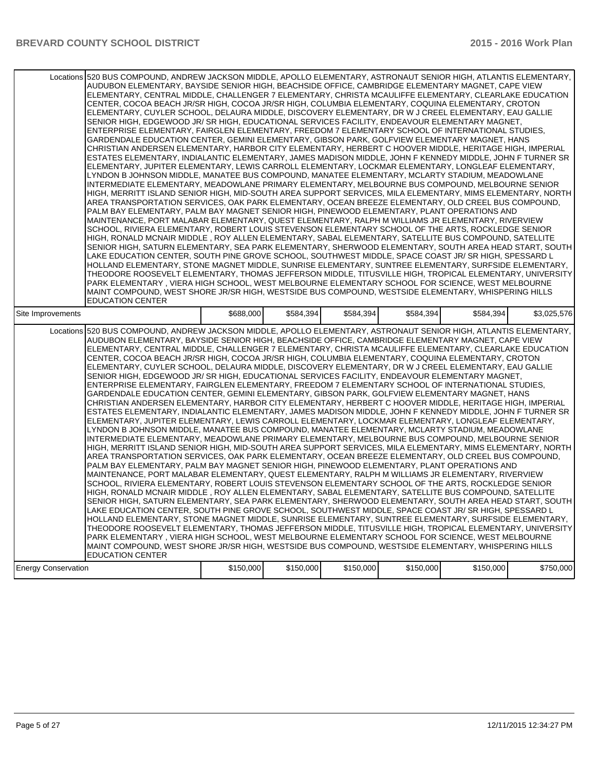|                            | Locations 520 BUS COMPOUND, ANDREW JACKSON MIDDLE, APOLLO ELEMENTARY, ASTRONAUT SENIOR HIGH, ATLANTIS ELEMENTARY,<br>AUDUBON ELEMENTARY, BAYSIDE SENIOR HIGH, BEACHSIDE OFFICE, CAMBRIDGE ELEMENTARY MAGNET, CAPE VIEW<br>ELEMENTARY, CENTRAL MIDDLE, CHALLENGER 7 ELEMENTARY, CHRISTA MCAULIFFE ELEMENTARY, CLEARLAKE EDUCATION<br>CENTER, COCOA BEACH JR/SR HIGH, COCOA JR/SR HIGH, COLUMBIA ELEMENTARY, COQUINA ELEMENTARY, CROTON<br>ELEMENTARY, CUYLER SCHOOL, DELAURA MIDDLE, DISCOVERY ELEMENTARY, DR W J CREEL ELEMENTARY, EAU GALLIE<br>SENIOR HIGH, EDGEWOOD JR/ SR HIGH, EDUCATIONAL SERVICES FACILITY, ENDEAVOUR ELEMENTARY MAGNET,<br>ENTERPRISE ELEMENTARY, FAIRGLEN ELEMENTARY, FREEDOM 7 ELEMENTARY SCHOOL OF INTERNATIONAL STUDIES.<br>GARDENDALE EDUCATION CENTER, GEMINI ELEMENTARY, GIBSON PARK, GOLFVIEW ELEMENTARY MAGNET, HANS<br>CHRISTIAN ANDERSEN ELEMENTARY, HARBOR CITY ELEMENTARY, HERBERT C HOOVER MIDDLE, HERITAGE HIGH, IMPERIAL<br>ESTATES ELEMENTARY, INDIALANTIC ELEMENTARY, JAMES MADISON MIDDLE, JOHN F KENNEDY MIDDLE, JOHN F TURNER SR<br>ELEMENTARY, JUPITER ELEMENTARY, LEWIS CARROLL ELEMENTARY, LOCKMAR ELEMENTARY, LONGLEAF ELEMENTARY,<br>LYNDON B JOHNSON MIDDLE, MANATEE BUS COMPOUND, MANATEE ELEMENTARY, MCLARTY STADIUM, MEADOWLANE<br>INTERMEDIATE ELEMENTARY, MEADOWLANE PRIMARY ELEMENTARY, MELBOURNE BUS COMPOUND, MELBOURNE SENIOR<br>HIGH, MERRITT ISLAND SENIOR HIGH, MID-SOUTH AREA SUPPORT SERVICES, MILA ELEMENTARY, MIMS ELEMENTARY, NORTH<br>AREA TRANSPORTATION SERVICES, OAK PARK ELEMENTARY, OCEAN BREEZE ELEMENTARY, OLD CREEL BUS COMPOUND,<br>PALM BAY ELEMENTARY, PALM BAY MAGNET SENIOR HIGH, PINEWOOD ELEMENTARY, PLANT OPERATIONS AND<br>MAINTENANCE, PORT MALABAR ELEMENTARY, QUEST ELEMENTARY, RALPH M WILLIAMS JR ELEMENTARY, RIVERVIEW<br>SCHOOL, RIVIERA ELEMENTARY, ROBERT LOUIS STEVENSON ELEMENTARY SCHOOL OF THE ARTS, ROCKLEDGE SENIOR<br>HIGH, RONALD MCNAIR MIDDLE, ROY ALLEN ELEMENTARY, SABAL ELEMENTARY, SATELLITE BUS COMPOUND, SATELLITE<br>SENIOR HIGH, SATURN ELEMENTARY, SEA PARK ELEMENTARY, SHERWOOD ELEMENTARY, SOUTH AREA HEAD START, SOUTH<br>LAKE EDUCATION CENTER, SOUTH PINE GROVE SCHOOL, SOUTHWEST MIDDLE, SPACE COAST JR/ SR HIGH, SPESSARD L<br>HOLLAND ELEMENTARY, STONE MAGNET MIDDLE, SUNRISE ELEMENTARY, SUNTREE ELEMENTARY, SURFSIDE ELEMENTARY,<br>THEODORE ROOSEVELT ELEMENTARY, THOMAS JEFFERSON MIDDLE, TITUSVILLE HIGH, TROPICAL ELEMENTARY, UNIVERSITY<br>PARK ELEMENTARY, VIERA HIGH SCHOOL, WEST MELBOURNE ELEMENTARY SCHOOL FOR SCIENCE, WEST MELBOURNE<br>MAINT COMPOUND, WEST SHORE JR/SR HIGH, WESTSIDE BUS COMPOUND, WESTSIDE ELEMENTARY, WHISPERING HILLS                              |           |           |           |           |           |             |
|----------------------------|-------------------------------------------------------------------------------------------------------------------------------------------------------------------------------------------------------------------------------------------------------------------------------------------------------------------------------------------------------------------------------------------------------------------------------------------------------------------------------------------------------------------------------------------------------------------------------------------------------------------------------------------------------------------------------------------------------------------------------------------------------------------------------------------------------------------------------------------------------------------------------------------------------------------------------------------------------------------------------------------------------------------------------------------------------------------------------------------------------------------------------------------------------------------------------------------------------------------------------------------------------------------------------------------------------------------------------------------------------------------------------------------------------------------------------------------------------------------------------------------------------------------------------------------------------------------------------------------------------------------------------------------------------------------------------------------------------------------------------------------------------------------------------------------------------------------------------------------------------------------------------------------------------------------------------------------------------------------------------------------------------------------------------------------------------------------------------------------------------------------------------------------------------------------------------------------------------------------------------------------------------------------------------------------------------------------------------------------------------------------------------------------------------------------------------------------------------------------------------------------------------------------------------------------------------------------------------------------------------------------------------------------------------------------------------------------------------------------|-----------|-----------|-----------|-----------|-----------|-------------|
| Site Improvements          | <b>EDUCATION CENTER</b>                                                                                                                                                                                                                                                                                                                                                                                                                                                                                                                                                                                                                                                                                                                                                                                                                                                                                                                                                                                                                                                                                                                                                                                                                                                                                                                                                                                                                                                                                                                                                                                                                                                                                                                                                                                                                                                                                                                                                                                                                                                                                                                                                                                                                                                                                                                                                                                                                                                                                                                                                                                                                                                                                           | \$688,000 | \$584,394 | \$584,394 | \$584.394 | \$584.394 | \$3,025,576 |
|                            | Locations 520 BUS COMPOUND, ANDREW JACKSON MIDDLE, APOLLO ELEMENTARY, ASTRONAUT SENIOR HIGH, ATLANTIS ELEMENTARY,<br>AUDUBON ELEMENTARY, BAYSIDE SENIOR HIGH, BEACHSIDE OFFICE, CAMBRIDGE ELEMENTARY MAGNET, CAPE VIEW<br>ELEMENTARY, CENTRAL MIDDLE, CHALLENGER 7 ELEMENTARY, CHRISTA MCAULIFFE ELEMENTARY, CLEARLAKE EDUCATION<br>CENTER, COCOA BEACH JR/SR HIGH, COCOA JR/SR HIGH, COLUMBIA ELEMENTARY, COQUINA ELEMENTARY, CROTON<br>ELEMENTARY, CUYLER SCHOOL, DELAURA MIDDLE, DISCOVERY ELEMENTARY, DR W J CREEL ELEMENTARY, EAU GALLIE<br>SENIOR HIGH, EDGEWOOD JR/ SR HIGH, EDUCATIONAL SERVICES FACILITY, ENDEAVOUR ELEMENTARY MAGNET,<br>ENTERPRISE ELEMENTARY, FAIRGLEN ELEMENTARY, FREEDOM 7 ELEMENTARY SCHOOL OF INTERNATIONAL STUDIES,<br>GARDENDALE EDUCATION CENTER, GEMINI ELEMENTARY, GIBSON PARK, GOLFVIEW ELEMENTARY MAGNET, HANS<br>CHRISTIAN ANDERSEN ELEMENTARY, HARBOR CITY ELEMENTARY, HERBERT C HOOVER MIDDLE, HERITAGE HIGH, IMPERIAL<br>ESTATES ELEMENTARY, INDIALANTIC ELEMENTARY, JAMES MADISON MIDDLE, JOHN F KENNEDY MIDDLE, JOHN F TURNER SR<br>ELEMENTARY, JUPITER ELEMENTARY, LEWIS CARROLL ELEMENTARY, LOCKMAR ELEMENTARY, LONGLEAF ELEMENTARY,<br>LYNDON B JOHNSON MIDDLE, MANATEE BUS COMPOUND, MANATEE ELEMENTARY, MCLARTY STADIUM, MEADOWLANE<br>INTERMEDIATE ELEMENTARY, MEADOWLANE PRIMARY ELEMENTARY, MELBOURNE BUS COMPOUND, MELBOURNE SENIOR<br>HIGH, MERRITT ISLAND SENIOR HIGH, MID-SOUTH AREA SUPPORT SERVICES, MILA ELEMENTARY, MIMS ELEMENTARY, NORTH  <br>AREA TRANSPORTATION SERVICES, OAK PARK ELEMENTARY, OCEAN BREEZE ELEMENTARY, OLD CREEL BUS COMPOUND,<br>PALM BAY ELEMENTARY, PALM BAY MAGNET SENIOR HIGH, PINEWOOD ELEMENTARY, PLANT OPERATIONS AND<br>MAINTENANCE, PORT MALABAR ELEMENTARY, QUEST ELEMENTARY, RALPH M WILLIAMS JR ELEMENTARY, RIVERVIEW<br>SCHOOL, RIVIERA ELEMENTARY, ROBERT LOUIS STEVENSON ELEMENTARY SCHOOL OF THE ARTS, ROCKLEDGE SENIOR<br>HIGH, RONALD MCNAIR MIDDLE, ROY ALLEN ELEMENTARY, SABAL ELEMENTARY, SATELLITE BUS COMPOUND, SATELLITE<br>SENIOR HIGH, SATURN ELEMENTARY, SEA PARK ELEMENTARY, SHERWOOD ELEMENTARY, SOUTH AREA HEAD START, SOUTH<br>LAKE EDUCATION CENTER, SOUTH PINE GROVE SCHOOL, SOUTHWEST MIDDLE, SPACE COAST JR/ SR HIGH, SPESSARD L<br>HOLLAND ELEMENTARY, STONE MAGNET MIDDLE, SUNRISE ELEMENTARY, SUNTREE ELEMENTARY, SURFSIDE ELEMENTARY,<br>THEODORE ROOSEVELT ELEMENTARY, THOMAS JEFFERSON MIDDLE, TITUSVILLE HIGH, TROPICAL ELEMENTARY, UNIVERSITY<br>PARK ELEMENTARY, VIERA HIGH SCHOOL, WEST MELBOURNE ELEMENTARY SCHOOL FOR SCIENCE, WEST MELBOURNE<br>MAINT COMPOUND, WEST SHORE JR/SR HIGH, WESTSIDE BUS COMPOUND, WESTSIDE ELEMENTARY, WHISPERING HILLS<br><b>EDUCATION CENTER</b> |           |           |           |           |           |             |
| <b>Energy Conservation</b> |                                                                                                                                                                                                                                                                                                                                                                                                                                                                                                                                                                                                                                                                                                                                                                                                                                                                                                                                                                                                                                                                                                                                                                                                                                                                                                                                                                                                                                                                                                                                                                                                                                                                                                                                                                                                                                                                                                                                                                                                                                                                                                                                                                                                                                                                                                                                                                                                                                                                                                                                                                                                                                                                                                                   | \$150,000 | \$150,000 | \$150,000 | \$150,000 | \$150,000 | \$750,000   |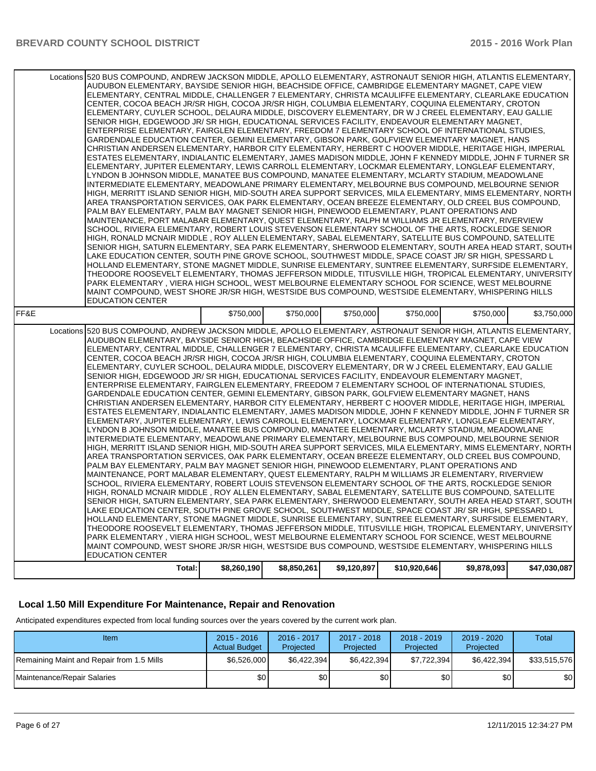|      | Locations 520 BUS COMPOUND, ANDREW JACKSON MIDDLE, APOLLO ELEMENTARY, ASTRONAUT SENIOR HIGH, ATLANTIS ELEMENTARY,                                                                                           |             |             |             |              |             |                                                                                                                   |
|------|-------------------------------------------------------------------------------------------------------------------------------------------------------------------------------------------------------------|-------------|-------------|-------------|--------------|-------------|-------------------------------------------------------------------------------------------------------------------|
|      | AUDUBON ELEMENTARY, BAYSIDE SENIOR HIGH, BEACHSIDE OFFICE, CAMBRIDGE ELEMENTARY MAGNET, CAPE VIEW                                                                                                           |             |             |             |              |             |                                                                                                                   |
|      | ELEMENTARY, CENTRAL MIDDLE, CHALLENGER 7 ELEMENTARY, CHRISTA MCAULIFFE ELEMENTARY, CLEARLAKE EDUCATION<br>CENTER, COCOA BEACH JR/SR HIGH, COCOA JR/SR HIGH, COLUMBIA ELEMENTARY, COQUINA ELEMENTARY, CROTON |             |             |             |              |             |                                                                                                                   |
|      |                                                                                                                                                                                                             |             |             |             |              |             |                                                                                                                   |
|      | ELEMENTARY, CUYLER SCHOOL, DELAURA MIDDLE, DISCOVERY ELEMENTARY, DR W J CREEL ELEMENTARY, EAU GALLIE                                                                                                        |             |             |             |              |             |                                                                                                                   |
|      | SENIOR HIGH, EDGEWOOD JR/SR HIGH, EDUCATIONAL SERVICES FACILITY, ENDEAVOUR ELEMENTARY MAGNET,                                                                                                               |             |             |             |              |             |                                                                                                                   |
|      | ENTERPRISE ELEMENTARY, FAIRGLEN ELEMENTARY, FREEDOM 7 ELEMENTARY SCHOOL OF INTERNATIONAL STUDIES.                                                                                                           |             |             |             |              |             |                                                                                                                   |
|      | GARDENDALE EDUCATION CENTER, GEMINI ELEMENTARY, GIBSON PARK, GOLFVIEW ELEMENTARY MAGNET, HANS                                                                                                               |             |             |             |              |             |                                                                                                                   |
|      | CHRISTIAN ANDERSEN ELEMENTARY, HARBOR CITY ELEMENTARY, HERBERT C HOOVER MIDDLE, HERITAGE HIGH, IMPERIAL                                                                                                     |             |             |             |              |             |                                                                                                                   |
|      | ESTATES ELEMENTARY, INDIALANTIC ELEMENTARY, JAMES MADISON MIDDLE, JOHN F KENNEDY MIDDLE, JOHN F TURNER SR                                                                                                   |             |             |             |              |             |                                                                                                                   |
|      | ELEMENTARY, JUPITER ELEMENTARY, LEWIS CARROLL ELEMENTARY, LOCKMAR ELEMENTARY, LONGLEAF ELEMENTARY,                                                                                                          |             |             |             |              |             |                                                                                                                   |
|      | LYNDON B JOHNSON MIDDLE, MANATEE BUS COMPOUND, MANATEE ELEMENTARY, MCLARTY STADIUM, MEADOWLANE                                                                                                              |             |             |             |              |             |                                                                                                                   |
|      | INTERMEDIATE ELEMENTARY, MEADOWLANE PRIMARY ELEMENTARY, MELBOURNE BUS COMPOUND, MELBOURNE SENIOR                                                                                                            |             |             |             |              |             |                                                                                                                   |
|      | HIGH, MERRITT ISLAND SENIOR HIGH, MID-SOUTH AREA SUPPORT SERVICES, MILA ELEMENTARY, MIMS ELEMENTARY, NORTH                                                                                                  |             |             |             |              |             |                                                                                                                   |
|      | AREA TRANSPORTATION SERVICES, OAK PARK ELEMENTARY, OCEAN BREEZE ELEMENTARY, OLD CREEL BUS COMPOUND,                                                                                                         |             |             |             |              |             |                                                                                                                   |
|      | PALM BAY ELEMENTARY, PALM BAY MAGNET SENIOR HIGH, PINEWOOD ELEMENTARY, PLANT OPERATIONS AND                                                                                                                 |             |             |             |              |             |                                                                                                                   |
|      | MAINTENANCE, PORT MALABAR ELEMENTARY, QUEST ELEMENTARY, RALPH M WILLIAMS JR ELEMENTARY, RIVERVIEW                                                                                                           |             |             |             |              |             |                                                                                                                   |
|      | SCHOOL, RIVIERA ELEMENTARY, ROBERT LOUIS STEVENSON ELEMENTARY SCHOOL OF THE ARTS, ROCKLEDGE SENIOR                                                                                                          |             |             |             |              |             |                                                                                                                   |
|      | HIGH, RONALD MCNAIR MIDDLE, ROY ALLEN ELEMENTARY, SABAL ELEMENTARY, SATELLITE BUS COMPOUND, SATELLITE                                                                                                       |             |             |             |              |             |                                                                                                                   |
|      | SENIOR HIGH, SATURN ELEMENTARY, SEA PARK ELEMENTARY, SHERWOOD ELEMENTARY, SOUTH AREA HEAD START, SOUTH                                                                                                      |             |             |             |              |             |                                                                                                                   |
|      | LAKE EDUCATION CENTER, SOUTH PINE GROVE SCHOOL, SOUTHWEST MIDDLE, SPACE COAST JR/SR HIGH, SPESSARD L                                                                                                        |             |             |             |              |             |                                                                                                                   |
|      | HOLLAND ELEMENTARY, STONE MAGNET MIDDLE, SUNRISE ELEMENTARY, SUNTREE ELEMENTARY, SURFSIDE ELEMENTARY,                                                                                                       |             |             |             |              |             |                                                                                                                   |
|      | THEODORE ROOSEVELT ELEMENTARY, THOMAS JEFFERSON MIDDLE, TITUSVILLE HIGH, TROPICAL ELEMENTARY, UNIVERSITY                                                                                                    |             |             |             |              |             |                                                                                                                   |
|      | PARK ELEMENTARY, VIERA HIGH SCHOOL, WEST MELBOURNE ELEMENTARY SCHOOL FOR SCIENCE, WEST MELBOURNE                                                                                                            |             |             |             |              |             |                                                                                                                   |
|      | MAINT COMPOUND, WEST SHORE JR/SR HIGH, WESTSIDE BUS COMPOUND, WESTSIDE ELEMENTARY, WHISPERING HILLS                                                                                                         |             |             |             |              |             |                                                                                                                   |
|      | <b>EDUCATION CENTER</b>                                                                                                                                                                                     |             |             |             |              |             |                                                                                                                   |
| FF&E |                                                                                                                                                                                                             | \$750,000   | \$750,000   | \$750,000   | \$750,000    | \$750,000   | \$3,750,000                                                                                                       |
|      |                                                                                                                                                                                                             |             |             |             |              |             |                                                                                                                   |
|      |                                                                                                                                                                                                             |             |             |             |              |             |                                                                                                                   |
|      |                                                                                                                                                                                                             |             |             |             |              |             | Locations 520 BUS COMPOUND, ANDREW JACKSON MIDDLE, APOLLO ELEMENTARY, ASTRONAUT SENIOR HIGH, ATLANTIS ELEMENTARY, |
|      | AUDUBON ELEMENTARY, BAYSIDE SENIOR HIGH, BEACHSIDE OFFICE, CAMBRIDGE ELEMENTARY MAGNET, CAPE VIEW                                                                                                           |             |             |             |              |             |                                                                                                                   |
|      | ELEMENTARY, CENTRAL MIDDLE, CHALLENGER 7 ELEMENTARY, CHRISTA MCAULIFFE ELEMENTARY, CLEARLAKE EDUCATION                                                                                                      |             |             |             |              |             |                                                                                                                   |
|      | CENTER, COCOA BEACH JR/SR HIGH, COCOA JR/SR HIGH, COLUMBIA ELEMENTARY, COQUINA ELEMENTARY, CROTON                                                                                                           |             |             |             |              |             |                                                                                                                   |
|      | ELEMENTARY, CUYLER SCHOOL, DELAURA MIDDLE, DISCOVERY ELEMENTARY, DR W J CREEL ELEMENTARY, EAU GALLIE                                                                                                        |             |             |             |              |             |                                                                                                                   |
|      | SENIOR HIGH, EDGEWOOD JR/SR HIGH, EDUCATIONAL SERVICES FACILITY, ENDEAVOUR ELEMENTARY MAGNET,                                                                                                               |             |             |             |              |             |                                                                                                                   |
|      | ENTERPRISE ELEMENTARY, FAIRGLEN ELEMENTARY, FREEDOM 7 ELEMENTARY SCHOOL OF INTERNATIONAL STUDIES,                                                                                                           |             |             |             |              |             |                                                                                                                   |
|      | GARDENDALE EDUCATION CENTER, GEMINI ELEMENTARY, GIBSON PARK, GOLFVIEW ELEMENTARY MAGNET, HANS                                                                                                               |             |             |             |              |             |                                                                                                                   |
|      | CHRISTIAN ANDERSEN ELEMENTARY, HARBOR CITY ELEMENTARY, HERBERT C HOOVER MIDDLE, HERITAGE HIGH, IMPERIAL                                                                                                     |             |             |             |              |             |                                                                                                                   |
|      | ESTATES ELEMENTARY, INDIALANTIC ELEMENTARY, JAMES MADISON MIDDLE, JOHN F KENNEDY MIDDLE, JOHN F TURNER SR                                                                                                   |             |             |             |              |             |                                                                                                                   |
|      | ELEMENTARY, JUPITER ELEMENTARY, LEWIS CARROLL ELEMENTARY, LOCKMAR ELEMENTARY, LONGLEAF ELEMENTARY,                                                                                                          |             |             |             |              |             |                                                                                                                   |
|      | LYNDON B JOHNSON MIDDLE, MANATEE BUS COMPOUND, MANATEE ELEMENTARY, MCLARTY STADIUM, MEADOWLANE                                                                                                              |             |             |             |              |             |                                                                                                                   |
|      | INTERMEDIATE ELEMENTARY, MEADOWLANE PRIMARY ELEMENTARY, MELBOURNE BUS COMPOUND, MELBOURNE SENIOR                                                                                                            |             |             |             |              |             |                                                                                                                   |
|      | HIGH, MERRITT ISLAND SENIOR HIGH, MID-SOUTH AREA SUPPORT SERVICES, MILA ELEMENTARY, MIMS ELEMENTARY, NORTH                                                                                                  |             |             |             |              |             |                                                                                                                   |
|      | AREA TRANSPORTATION SERVICES, OAK PARK ELEMENTARY, OCEAN BREEZE ELEMENTARY, OLD CREEL BUS COMPOUND,                                                                                                         |             |             |             |              |             |                                                                                                                   |
|      | PALM BAY ELEMENTARY, PALM BAY MAGNET SENIOR HIGH, PINEWOOD ELEMENTARY, PLANT OPERATIONS AND                                                                                                                 |             |             |             |              |             |                                                                                                                   |
|      | MAINTENANCE, PORT MALABAR ELEMENTARY, QUEST ELEMENTARY, RALPH M WILLIAMS JR ELEMENTARY, RIVERVIEW                                                                                                           |             |             |             |              |             |                                                                                                                   |
|      | SCHOOL, RIVIERA ELEMENTARY, ROBERT LOUIS STEVENSON ELEMENTARY SCHOOL OF THE ARTS, ROCKLEDGE SENIOR                                                                                                          |             |             |             |              |             |                                                                                                                   |
|      | HIGH, RONALD MCNAIR MIDDLE, ROY ALLEN ELEMENTARY, SABAL ELEMENTARY, SATELLITE BUS COMPOUND, SATELLITE                                                                                                       |             |             |             |              |             |                                                                                                                   |
|      | SENIOR HIGH, SATURN ELEMENTARY, SEA PARK ELEMENTARY, SHERWOOD ELEMENTARY, SOUTH AREA HEAD START, SOUTH                                                                                                      |             |             |             |              |             |                                                                                                                   |
|      | LAKE EDUCATION CENTER, SOUTH PINE GROVE SCHOOL, SOUTHWEST MIDDLE, SPACE COAST JR/ SR HIGH, SPESSARD L                                                                                                       |             |             |             |              |             |                                                                                                                   |
|      | HOLLAND ELEMENTARY, STONE MAGNET MIDDLE, SUNRISE ELEMENTARY, SUNTREE ELEMENTARY, SURFSIDE ELEMENTARY,                                                                                                       |             |             |             |              |             |                                                                                                                   |
|      | THEODORE ROOSEVELT ELEMENTARY. THOMAS JEFFERSON MIDDLE. TITUSVILLE HIGH. TROPICAL ELEMENTARY. UNIVERSITY                                                                                                    |             |             |             |              |             |                                                                                                                   |
|      | PARK ELEMENTARY, VIERA HIGH SCHOOL, WEST MELBOURNE ELEMENTARY SCHOOL FOR SCIENCE, WEST MELBOURNE                                                                                                            |             |             |             |              |             |                                                                                                                   |
|      | MAINT COMPOUND, WEST SHORE JR/SR HIGH, WESTSIDE BUS COMPOUND, WESTSIDE ELEMENTARY, WHISPERING HILLS                                                                                                         |             |             |             |              |             |                                                                                                                   |
|      | <b>EDUCATION CENTER</b><br>Total:                                                                                                                                                                           | \$8,260,190 | \$8,850,261 | \$9,120,897 | \$10,920,646 | \$9,878,093 | \$47,030,087                                                                                                      |

## **Local 1.50 Mill Expenditure For Maintenance, Repair and Renovation**

Anticipated expenditures expected from local funding sources over the years covered by the current work plan.

| Item                                      | $2015 - 2016$<br><b>Actual Budget</b> | 2016 - 2017<br>Projected | 2017 - 2018<br>Projected | $2018 - 2019$<br>Projected | $2019 - 2020$<br>Projected | Total        |
|-------------------------------------------|---------------------------------------|--------------------------|--------------------------|----------------------------|----------------------------|--------------|
| Remaining Maint and Repair from 1.5 Mills | \$6,526,000                           | \$6.422.394              | \$6,422,394]             | \$7,722,394                | \$6.422.394                | \$33.515.576 |
| Maintenance/Repair Salaries               | \$0                                   | \$0                      | \$0                      | \$0 I                      | \$0                        | \$0          |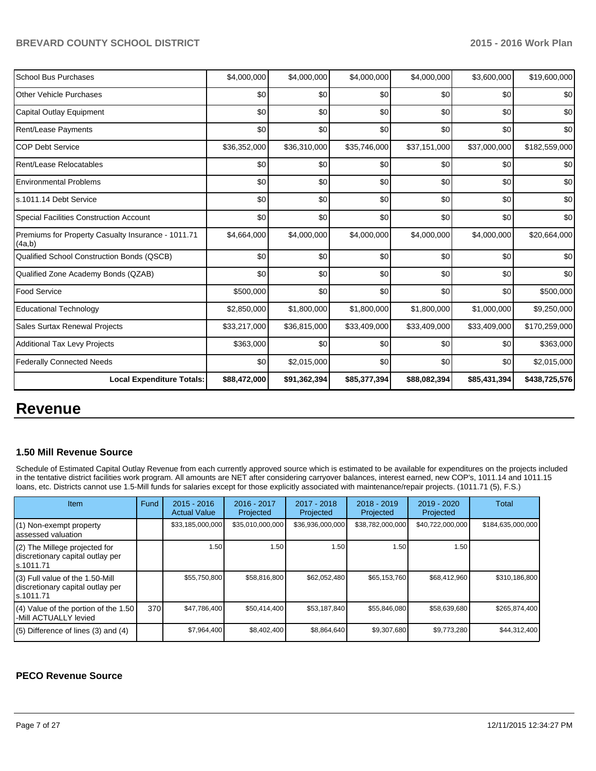| <b>School Bus Purchases</b>                                  | \$4,000,000  | \$4,000,000  | \$4,000,000  | \$4,000,000  | \$3,600,000  | \$19,600,000  |
|--------------------------------------------------------------|--------------|--------------|--------------|--------------|--------------|---------------|
| <b>Other Vehicle Purchases</b>                               | \$0          | \$0          | \$0          | \$0          | \$0          | \$0           |
| Capital Outlay Equipment                                     | \$0          | \$0          | \$0          | \$0          | \$0          | \$0           |
| <b>Rent/Lease Payments</b>                                   | \$0          | \$0          | \$0          | \$0          | \$0          | \$0           |
| <b>COP Debt Service</b>                                      | \$36,352,000 | \$36,310,000 | \$35,746,000 | \$37,151,000 | \$37,000,000 | \$182,559,000 |
| Rent/Lease Relocatables                                      | \$0          | \$0          | \$0          | \$0          | \$0          | \$0           |
| <b>Environmental Problems</b>                                | \$0          | \$0          | \$0          | \$0          | \$0          | \$0           |
| s.1011.14 Debt Service                                       | \$0          | \$0          | \$0          | \$0          | \$0          | \$0           |
| <b>Special Facilities Construction Account</b>               | \$0          | \$0          | \$0          | \$0          | \$0          | \$0           |
| Premiums for Property Casualty Insurance - 1011.71<br>(4a,b) | \$4,664,000  | \$4,000,000  | \$4,000,000  | \$4,000,000  | \$4,000,000  | \$20,664,000  |
| Qualified School Construction Bonds (QSCB)                   | \$0          | \$0          | \$0          | \$0          | \$0          | \$0           |
| Qualified Zone Academy Bonds (QZAB)                          | \$0          | \$0          | \$0          | \$0          | \$0          | \$0           |
| <b>Food Service</b>                                          | \$500,000    | \$0          | \$0          | \$0          | \$0          | \$500,000     |
| <b>Educational Technology</b>                                | \$2,850,000  | \$1,800,000  | \$1,800,000  | \$1,800,000  | \$1,000,000  | \$9,250,000   |
| <b>Sales Surtax Renewal Projects</b>                         | \$33,217,000 | \$36,815,000 | \$33,409,000 | \$33,409,000 | \$33,409,000 | \$170,259,000 |
| <b>Additional Tax Levy Projects</b>                          | \$363,000    | \$0          | \$0          | \$0          | \$0          | \$363,000     |
| <b>Federally Connected Needs</b>                             | \$0          | \$2,015,000  | \$0          | \$0          | \$0          | \$2,015,000   |
| <b>Local Expenditure Totals:</b>                             | \$88,472,000 | \$91,362,394 | \$85,377,394 | \$88,082,394 | \$85,431,394 | \$438,725,576 |

## **Revenue**

#### **1.50 Mill Revenue Source**

Schedule of Estimated Capital Outlay Revenue from each currently approved source which is estimated to be available for expenditures on the projects included in the tentative district facilities work program. All amounts are NET after considering carryover balances, interest earned, new COP's, 1011.14 and 1011.15 loans, etc. Districts cannot use 1.5-Mill funds for salaries except for those explicitly associated with maintenance/repair projects. (1011.71 (5), F.S.)

| Item                                                                                | Fund | $2015 - 2016$<br><b>Actual Value</b> | 2016 - 2017<br>Projected | 2017 - 2018<br>Projected | $2018 - 2019$<br>Projected | 2019 - 2020<br>Projected | Total             |
|-------------------------------------------------------------------------------------|------|--------------------------------------|--------------------------|--------------------------|----------------------------|--------------------------|-------------------|
| (1) Non-exempt property<br>lassessed valuation                                      |      | \$33,185,000,000                     | \$35,010,000,000         | \$36,936,000,000         | \$38,782,000,000           | \$40,722,000,000         | \$184,635,000,000 |
| $(2)$ The Millege projected for<br>discretionary capital outlay per<br>ls.1011.71   |      | 1.50                                 | 1.50                     | 1.50                     | 1.50 <sub>1</sub>          | 1.50                     |                   |
| $(3)$ Full value of the 1.50-Mill<br>discretionary capital outlay per<br>ls.1011.71 |      | \$55,750,800                         | \$58,816,800             | \$62,052,480             | \$65,153,760               | \$68,412,960             | \$310,186,800     |
| $(4)$ Value of the portion of the 1.50<br>-Mill ACTUALLY levied                     | 370  | \$47,786,400                         | \$50,414,400             | \$53,187,840             | \$55,846,080               | \$58,639,680             | \$265,874,400     |
| $(5)$ Difference of lines (3) and (4)                                               |      | \$7,964,400                          | \$8,402,400              | \$8,864,640              | \$9,307,680                | \$9,773,280              | \$44,312,400      |

#### **PECO Revenue Source**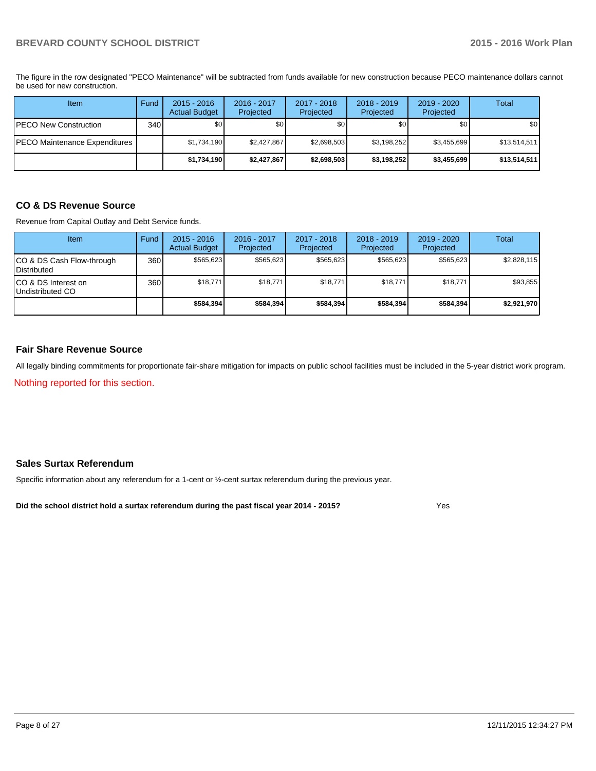The figure in the row designated "PECO Maintenance" will be subtracted from funds available for new construction because PECO maintenance dollars cannot be used for new construction.

| Item                          | Fund | $2015 - 2016$<br><b>Actual Budget</b> | 2016 - 2017<br>Projected | 2017 - 2018<br>Projected | $2018 - 2019$<br>Projected | $2019 - 2020$<br>Projected | Total        |
|-------------------------------|------|---------------------------------------|--------------------------|--------------------------|----------------------------|----------------------------|--------------|
| PECO New Construction         | 340  | \$0                                   | \$0                      | \$0                      | \$0                        | \$0 <sub>1</sub>           | \$0          |
| PECO Maintenance Expenditures |      | \$1.734.190                           | \$2.427.867              | \$2,698,503              | \$3,198,252                | \$3,455,699                | \$13,514,511 |
|                               |      | \$1,734,190                           | \$2,427,867              | \$2,698,503              | \$3,198,252                | \$3,455,699                | \$13,514,511 |

## **CO & DS Revenue Source**

Revenue from Capital Outlay and Debt Service funds.

| <b>Item</b>                                        | Fund | $2015 - 2016$<br><b>Actual Budget</b> | $2016 - 2017$<br>Projected | $2017 - 2018$<br>Projected | $2018 - 2019$<br>Projected | $2019 - 2020$<br>Projected | Total       |
|----------------------------------------------------|------|---------------------------------------|----------------------------|----------------------------|----------------------------|----------------------------|-------------|
| ICO & DS Cash Flow-through<br><b>I</b> Distributed | 360  | \$565.623                             | \$565.623                  | \$565.623                  | \$565.623                  | \$565.623                  | \$2,828,115 |
| ICO & DS Interest on<br>Undistributed CO           | 360  | \$18.771                              | \$18,771                   | \$18,771                   | \$18.771                   | \$18,771                   | \$93,855    |
|                                                    |      | \$584.394                             | \$584.394                  | \$584.394                  | \$584.394                  | \$584.394                  | \$2,921,970 |

#### **Fair Share Revenue Source**

All legally binding commitments for proportionate fair-share mitigation for impacts on public school facilities must be included in the 5-year district work program.

Nothing reported for this section.

#### **Sales Surtax Referendum**

Specific information about any referendum for a 1-cent or ½-cent surtax referendum during the previous year.

**Did the school district hold a surtax referendum during the past fiscal year 2014 - 2015?**

Yes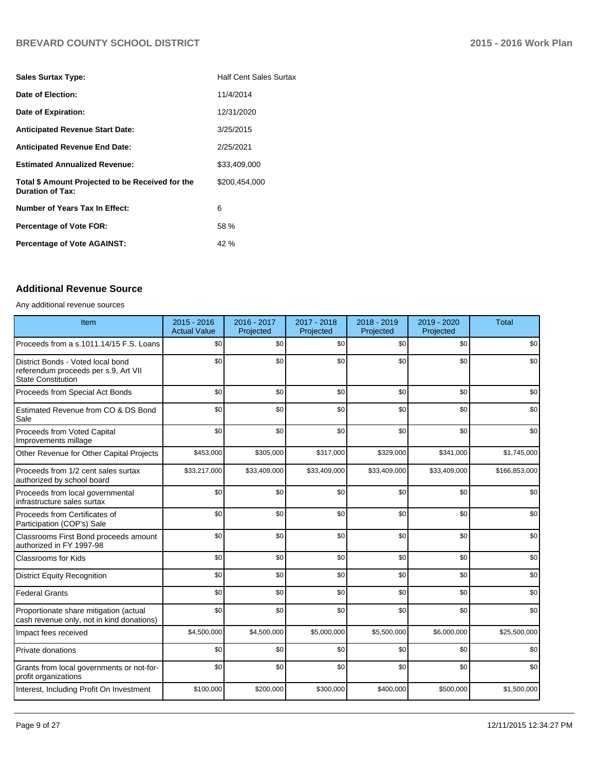| <b>Half Cent Sales Surtax</b> |
|-------------------------------|
| 11/4/2014                     |
| 12/31/2020                    |
| 3/25/2015                     |
| 2/25/2021                     |
| \$33,409,000                  |
| \$200,454,000                 |
| 6                             |
| 58 %                          |
| 42 %                          |
|                               |

#### **Additional Revenue Source**

#### Any additional revenue sources

| Item                                                                                                   | 2015 - 2016<br><b>Actual Value</b> | 2016 - 2017<br>Projected | 2017 - 2018<br>Projected | 2018 - 2019<br>Projected | 2019 - 2020<br>Projected | <b>Total</b>  |
|--------------------------------------------------------------------------------------------------------|------------------------------------|--------------------------|--------------------------|--------------------------|--------------------------|---------------|
| Proceeds from a s.1011.14/15 F.S. Loans                                                                | \$0                                | \$0                      | \$0                      | \$0                      | \$0                      | \$0           |
| District Bonds - Voted local bond<br>referendum proceeds per s.9, Art VII<br><b>State Constitution</b> | \$0                                | \$0                      | \$0                      | \$0                      | \$0                      | \$0           |
| Proceeds from Special Act Bonds                                                                        | \$0                                | \$0                      | \$0                      | \$0                      | \$0                      | \$0           |
| Estimated Revenue from CO & DS Bond<br>Sale                                                            | \$0                                | \$0                      | \$0                      | \$0                      | \$0                      | \$0           |
| Proceeds from Voted Capital<br>Improvements millage                                                    | \$0                                | \$0                      | \$0                      | \$0                      | \$0                      | \$0           |
| Other Revenue for Other Capital Projects                                                               | \$453,000                          | \$305,000                | \$317,000                | \$329,000                | \$341,000                | \$1,745,000   |
| Proceeds from 1/2 cent sales surtax<br>authorized by school board                                      | \$33,217,000                       | \$33,409,000             | \$33,409,000             | \$33,409,000             | \$33,409,000             | \$166,853,000 |
| Proceeds from local governmental<br>infrastructure sales surtax                                        | \$0                                | \$0                      | \$0                      | \$0                      | \$0                      | \$0           |
| Proceeds from Certificates of<br>Participation (COP's) Sale                                            | \$0                                | \$0                      | \$0                      | \$0                      | \$0                      | \$0           |
| Classrooms First Bond proceeds amount<br>authorized in FY 1997-98                                      | \$0                                | \$0                      | \$0                      | \$0                      | \$0                      | \$0           |
| <b>Classrooms for Kids</b>                                                                             | \$0                                | \$0                      | \$0                      | \$0                      | \$0                      | \$0           |
| <b>District Equity Recognition</b>                                                                     | \$0                                | \$0                      | \$0                      | \$0                      | \$0                      | \$0           |
| Federal Grants                                                                                         | \$0                                | \$0                      | \$0                      | \$0                      | \$0                      | \$0           |
| Proportionate share mitigation (actual<br>cash revenue only, not in kind donations)                    | \$0                                | \$0                      | \$0                      | \$0                      | \$0                      | \$0           |
| Impact fees received                                                                                   | \$4,500,000                        | \$4,500,000              | \$5,000,000              | \$5,500,000              | \$6,000,000              | \$25,500,000  |
| <b>Private donations</b>                                                                               | \$0                                | \$0                      | \$0                      | \$0                      | \$0                      | \$0           |
| Grants from local governments or not-for-<br>profit organizations                                      | \$0                                | \$0                      | \$0                      | \$0                      | \$0                      | \$0           |
| Interest, Including Profit On Investment                                                               | \$100,000                          | \$200,000                | \$300,000                | \$400,000                | \$500,000                | \$1,500,000   |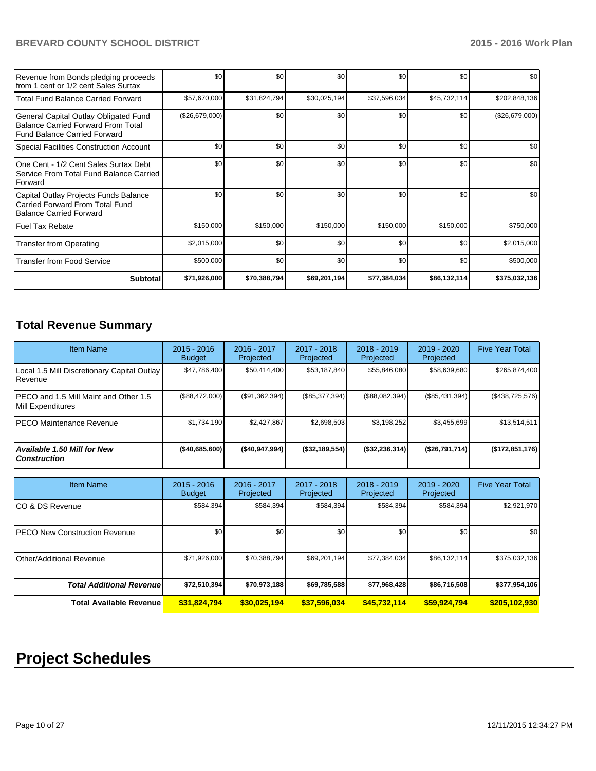| Revenue from Bonds pledging proceeds<br>Ifrom 1 cent or 1/2 cent Sales Surtax                               | \$0            | \$0          | \$0          | \$0          | \$0          | \$0 <sub>1</sub> |
|-------------------------------------------------------------------------------------------------------------|----------------|--------------|--------------|--------------|--------------|------------------|
| l Total Fund Balance Carried Forward                                                                        | \$57,670,000   | \$31,824,794 | \$30,025,194 | \$37,596,034 | \$45,732,114 | \$202,848,136    |
| General Capital Outlay Obligated Fund<br>Balance Carried Forward From Total<br>Fund Balance Carried Forward | (\$26,679,000) | \$0          | \$0          | \$0          | \$0          | (\$26,679,000)   |
| Special Facilities Construction Account                                                                     | \$0            | \$0          | \$0          | \$0          | \$0          | \$0 <sub>1</sub> |
| IOne Cent - 1/2 Cent Sales Surtax Debt<br>Service From Total Fund Balance Carried<br><b>I</b> Forward       | \$0            | \$0          | \$0          | \$0          | \$0          | \$0 <sub>1</sub> |
| Capital Outlay Projects Funds Balance<br>l Carried Forward From Total Fund<br>Balance Carried Forward       | \$0            | \$0          | \$0          | \$0          | \$0          | \$0 <sub>1</sub> |
| l Fuel Tax Rebate                                                                                           | \$150,000      | \$150,000    | \$150,000    | \$150,000    | \$150,000    | \$750,000        |
| Transfer from Operating                                                                                     | \$2,015,000    | \$0          | \$0          | \$0          | \$0          | \$2,015,000      |
| l Transfer from Food Service                                                                                | \$500,000      | \$0          | \$0          | \$0          | \$0          | \$500,000        |
| Subtotal                                                                                                    | \$71,926,000   | \$70,388,794 | \$69,201,194 | \$77,384,034 | \$86,132,114 | \$375,032,136    |

## **Total Revenue Summary**

| <b>Item Name</b>                                                | $2015 - 2016$<br><b>Budget</b> | $2016 - 2017$<br>Projected | 2017 - 2018<br>Projected | $2018 - 2019$<br>Projected | $2019 - 2020$<br>Projected | <b>Five Year Total</b> |
|-----------------------------------------------------------------|--------------------------------|----------------------------|--------------------------|----------------------------|----------------------------|------------------------|
| Local 1.5 Mill Discretionary Capital Outlay<br><b>I</b> Revenue | \$47,786,400                   | \$50,414,400               | \$53,187,840             | \$55,846,080               | \$58,639,680               | \$265,874,400          |
| IPECO and 1.5 Mill Maint and Other 1.5<br>Mill Expenditures     | (\$88,472,000)                 | (\$91,362,394)             | (\$85,377,394)           | (\$88,082,394)             | (\$85,431,394)             | (\$438,725,576)        |
| IPECO Maintenance Revenue                                       | \$1.734.190                    | \$2.427.867                | \$2,698,503              | \$3,198,252                | \$3,455,699                | \$13,514,511           |
| Available 1.50 Mill for New l<br>  Construction                 | ( \$40,685,600)                | (\$40,947,994)             | (\$32,189,554)           | (\$32,236,314)             | (\$26,791,714)             | (\$172,851,176)        |

| <b>Item Name</b>                      | $2015 - 2016$<br><b>Budget</b> | $2016 - 2017$<br>Projected | 2017 - 2018<br>Projected | 2018 - 2019<br>Projected | 2019 - 2020<br>Projected | <b>Five Year Total</b> |
|---------------------------------------|--------------------------------|----------------------------|--------------------------|--------------------------|--------------------------|------------------------|
| ICO & DS Revenue                      | \$584,394                      | \$584,394                  | \$584,394                | \$584,394                | \$584,394                | \$2,921,970            |
| <b>IPECO New Construction Revenue</b> | \$0                            | \$0                        | \$0                      | \$0                      | \$0                      | \$0                    |
| <b>IOther/Additional Revenue</b>      | \$71,926,000                   | \$70.388.794               | \$69,201,194             | \$77,384,034             | \$86,132,114             | \$375,032,136          |
| <b>Total Additional Revenuel</b>      | \$72,510,394                   | \$70,973,188               | \$69,785,588             | \$77,968,428             | \$86,716,508             | \$377,954,106          |
| <b>Total Available Revenue</b>        | \$31,824,794                   | \$30,025,194               | \$37,596,034             | \$45,732,114             | \$59,924,794             | \$205,102,930          |

# **Project Schedules**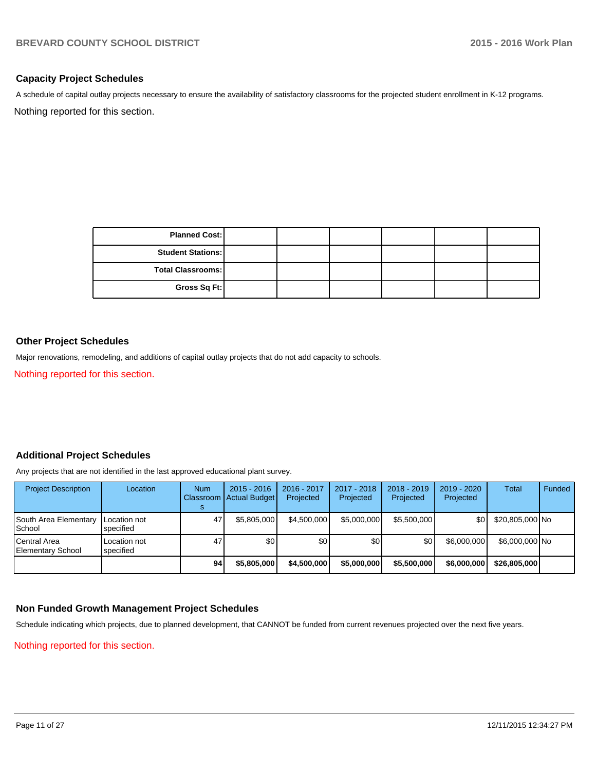#### **Capacity Project Schedules**

Nothing reported for this section. A schedule of capital outlay projects necessary to ensure the availability of satisfactory classrooms for the projected student enrollment in K-12 programs.

> **Total Classrooms: Gross Sq Ft: Planned Cost: Student Stations:**

#### **Other Project Schedules**

Major renovations, remodeling, and additions of capital outlay projects that do not add capacity to schools.

Nothing reported for this section.

#### **Additional Project Schedules**

Any projects that are not identified in the last approved educational plant survey.

| <b>Project Description</b>               | Location                  | <b>Num</b> | $2015 - 2016$<br>Classroom   Actual Budget | 2016 - 2017<br>Projected | $2017 - 2018$<br>Projected | $2018 - 2019$<br>Projected | $2019 - 2020$<br>Projected | Total           | <b>Funded</b> |
|------------------------------------------|---------------------------|------------|--------------------------------------------|--------------------------|----------------------------|----------------------------|----------------------------|-----------------|---------------|
| South Area Elementary<br>School          | Location not<br>specified | 47         | \$5,805,000                                | \$4,500,000              | \$5,000,000                | \$5.500.000                | \$0 I                      | \$20,805,000 No |               |
| Central Area<br><b>Elementary School</b> | Location not<br>specified | 47         | \$0                                        | \$0                      | \$0                        | \$0                        | \$6,000,000                | \$6,000,000 No  |               |
|                                          |                           | 94         | \$5,805,000                                | \$4,500,000              | \$5,000,000                | \$5,500,000                | \$6,000,000                | \$26,805,000    |               |

#### **Non Funded Growth Management Project Schedules**

Schedule indicating which projects, due to planned development, that CANNOT be funded from current revenues projected over the next five years.

#### Nothing reported for this section.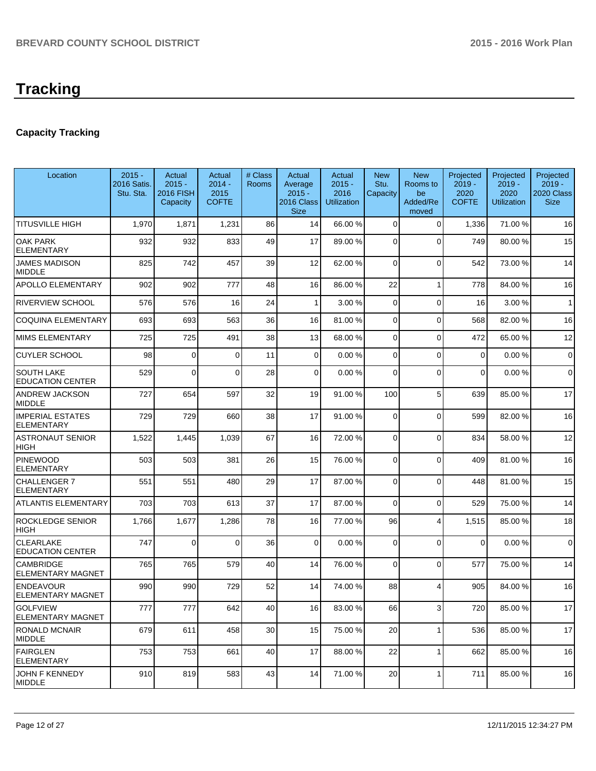## **Capacity Tracking**

| Location                                     | $2015 -$<br>2016 Satis.<br>Stu. Sta. | Actual<br>$2015 -$<br>2016 FISH<br>Capacity | Actual<br>$2014 -$<br>2015<br><b>COFTE</b> | # Class<br>Rooms | Actual<br>Average<br>$2015 -$<br>2016 Class<br><b>Size</b> | Actual<br>$2015 -$<br>2016<br>Utilization | <b>New</b><br>Stu.<br>Capacity | <b>New</b><br>Rooms to<br>be<br>Added/Re<br>moved | Projected<br>$2019 -$<br>2020<br><b>COFTE</b> | Projected<br>$2019 -$<br>2020<br><b>Utilization</b> | Projected<br>$2019 -$<br>2020 Class<br><b>Size</b> |
|----------------------------------------------|--------------------------------------|---------------------------------------------|--------------------------------------------|------------------|------------------------------------------------------------|-------------------------------------------|--------------------------------|---------------------------------------------------|-----------------------------------------------|-----------------------------------------------------|----------------------------------------------------|
| <b>TITUSVILLE HIGH</b>                       | 1,970                                | 1,871                                       | 1,231                                      | 86               | 14                                                         | 66.00 %                                   | 0                              | $\Omega$                                          | 1,336                                         | 71.00%                                              | 16                                                 |
| <b>OAK PARK</b><br><b>ELEMENTARY</b>         | 932                                  | 932                                         | 833                                        | 49               | 17                                                         | 89.00 %                                   | $\Omega$                       | $\Omega$                                          | 749                                           | 80.00%                                              | 15                                                 |
| JAMES MADISON<br><b>MIDDLE</b>               | 825                                  | 742                                         | 457                                        | 39               | 12                                                         | 62.00 %                                   | $\overline{0}$                 | $\Omega$                                          | 542                                           | 73.00 %                                             | 14                                                 |
| <b>APOLLO ELEMENTARY</b>                     | 902                                  | 902                                         | 777                                        | 48               | 16                                                         | 86.00 %                                   | 22                             | -1                                                | 778                                           | 84.00%                                              | 16                                                 |
| RIVERVIEW SCHOOL                             | 576                                  | 576                                         | 16                                         | 24               | 1                                                          | 3.00%                                     | 0                              | $\Omega$                                          | 16                                            | 3.00%                                               | $\mathbf{1}$                                       |
| <b>COQUINA ELEMENTARY</b>                    | 693                                  | 693                                         | 563                                        | 36               | 16                                                         | 81.00%                                    | 0                              | $\Omega$                                          | 568                                           | 82.00%                                              | 16                                                 |
| <b>MIMS ELEMENTARY</b>                       | 725                                  | 725                                         | 491                                        | 38               | 13                                                         | 68.00 %                                   | 0                              | $\Omega$                                          | 472                                           | 65.00%                                              | 12                                                 |
| <b>CUYLER SCHOOL</b>                         | 98                                   | $\Omega$                                    | $\Omega$                                   | 11               | $\overline{0}$                                             | 0.00%                                     | 0                              | $\Omega$                                          | 0                                             | 0.00%                                               | $\mathbf 0$                                        |
| <b>SOUTH LAKE</b><br><b>EDUCATION CENTER</b> | 529                                  | $\Omega$                                    | $\Omega$                                   | 28               | $\Omega$                                                   | 0.00%                                     | 0                              | $\Omega$                                          | $\Omega$                                      | 0.00%                                               | $\mathbf 0$                                        |
| ANDREW JACKSON<br><b>MIDDLE</b>              | 727                                  | 654                                         | 597                                        | 32               | 19                                                         | 91.00 %                                   | 100                            | 5                                                 | 639                                           | 85.00 %                                             | 17                                                 |
| <b>IMPERIAL ESTATES</b><br><b>ELEMENTARY</b> | 729                                  | 729                                         | 660                                        | 38               | 17                                                         | 91.00 %                                   | 0                              | $\Omega$                                          | 599                                           | 82.00 %                                             | 16                                                 |
| <b>ASTRONAUT SENIOR</b><br>HIGH              | 1,522                                | 1,445                                       | 1,039                                      | 67               | 16                                                         | 72.00 %                                   | 0                              | $\Omega$                                          | 834                                           | 58.00 %                                             | 12                                                 |
| <b>PINEWOOD</b><br><b>ELEMENTARY</b>         | 503                                  | 503                                         | 381                                        | 26               | 15                                                         | 76.00 %                                   | 0                              | $\Omega$                                          | 409                                           | 81.00%                                              | 16                                                 |
| CHALLENGER 7<br>ELEMENTARY                   | 551                                  | 551                                         | 480                                        | 29               | 17                                                         | 87.00 %                                   | 0                              | $\Omega$                                          | 448                                           | 81.00%                                              | 15                                                 |
| <b>ATLANTIS ELEMENTARY</b>                   | 703                                  | 703                                         | 613                                        | 37               | 17                                                         | 87.00 %                                   | $\mathbf 0$                    | $\Omega$                                          | 529                                           | 75.00 %                                             | 14                                                 |
| <b>ROCKLEDGE SENIOR</b><br><b>HIGH</b>       | 1,766                                | 1,677                                       | 1,286                                      | 78               | 16                                                         | 77.00 %                                   | 96                             | $\overline{\mathbf{4}}$                           | 1,515                                         | 85.00 %                                             | 18                                                 |
| <b>CLEARLAKE</b><br><b>EDUCATION CENTER</b>  | 747                                  | $\Omega$                                    | $\Omega$                                   | 36               | $\Omega$                                                   | 0.00%                                     | $\mathbf 0$                    | $\Omega$                                          | $\Omega$                                      | 0.00%                                               | $\mathbf 0$                                        |
| <b>CAMBRIDGE</b><br>ELEMENTARY MAGNET        | 765                                  | 765                                         | 579                                        | 40               | 14                                                         | 76.00 %                                   | 0                              | $\Omega$                                          | 577                                           | 75.00 %                                             | 14                                                 |
| <b>ENDEAVOUR</b><br><b>ELEMENTARY MAGNET</b> | 990                                  | 990                                         | 729                                        | 52               | 14                                                         | 74.00 %                                   | 88                             | 4                                                 | 905                                           | 84.00%                                              | 16                                                 |
| <b>GOLFVIEW</b><br><b>ELEMENTARY MAGNET</b>  | 777                                  | 777                                         | 642                                        | 40               | 16                                                         | 83.00 %                                   | 66                             | 3 <sup>1</sup>                                    | 720                                           | 85.00 %                                             | 17                                                 |
| RONALD MCNAIR<br><b>MIDDLE</b>               | 679                                  | 611                                         | 458                                        | 30 <sup>2</sup>  | 15                                                         | 75.00 %                                   | 20                             | $\mathbf{1}$                                      | 536                                           | 85.00 %                                             | 17                                                 |
| <b>FAIRGLEN</b><br><b>ELEMENTARY</b>         | 753                                  | 753                                         | 661                                        | 40               | 17                                                         | 88.00 %                                   | 22                             | $\mathbf{1}$                                      | 662                                           | 85.00 %                                             | 16                                                 |
| JOHN F KENNEDY<br><b>MIDDLE</b>              | 910                                  | 819                                         | 583                                        | 43               | 14                                                         | 71.00 %                                   | 20                             |                                                   | 711                                           | 85.00 %                                             | 16                                                 |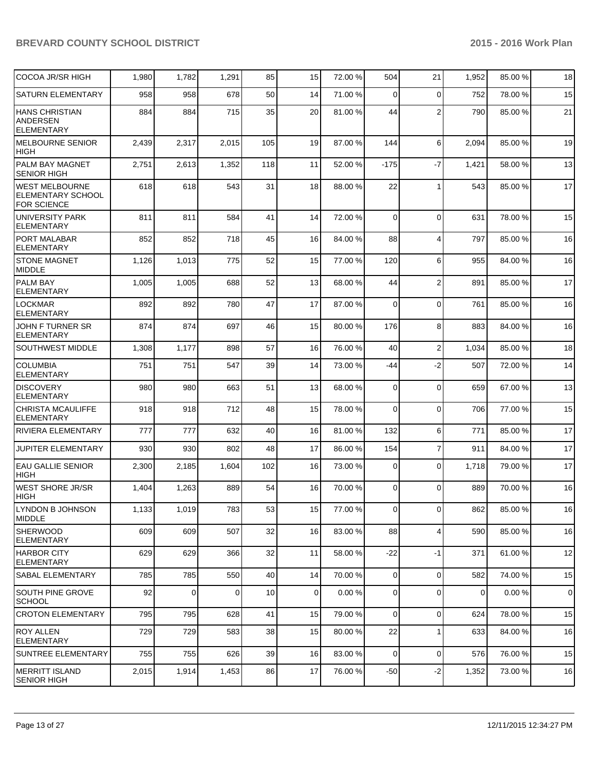| COCOA JR/SR HIGH                                                 | 1,980 | 1,782       | 1,291 | 85  | 15              | 72.00 % | 504            | 21             | 1,952 | 85.00 % | 18        |
|------------------------------------------------------------------|-------|-------------|-------|-----|-----------------|---------|----------------|----------------|-------|---------|-----------|
| <b>SATURN ELEMENTARY</b>                                         | 958   | 958         | 678   | 50  | 14              | 71.00 % | $\Omega$       | $\mathbf 0$    | 752   | 78.00 % | 15        |
| HANS CHRISTIAN<br>ANDERSEN<br><b>ELEMENTARY</b>                  | 884   | 884         | 715   | 35  | 20              | 81.00 % | 44             | $\overline{2}$ | 790   | 85.00 % | 21        |
| MELBOURNE SENIOR<br><b>HIGH</b>                                  | 2,439 | 2,317       | 2,015 | 105 | 19              | 87.00 % | 144            | 6              | 2,094 | 85.00 % | 19        |
| <b>PALM BAY MAGNET</b><br><b>SENIOR HIGH</b>                     | 2,751 | 2,613       | 1,352 | 118 | 11              | 52.00 % | $-175$         | $-7$           | 1,421 | 58.00 % | 13        |
| WEST MELBOURNE<br><b>ELEMENTARY SCHOOL</b><br><b>FOR SCIENCE</b> | 618   | 618         | 543   | 31  | 18              | 88.00 % | 22             | 1              | 543   | 85.00 % | 17        |
| <b>UNIVERSITY PARK</b><br><b>ELEMENTARY</b>                      | 811   | 811         | 584   | 41  | 14              | 72.00 % | $\Omega$       | $\mathbf 0$    | 631   | 78.00 % | 15        |
| PORT MALABAR<br>ELEMENTARY                                       | 852   | 852         | 718   | 45  | 16              | 84.00 % | 88             | $\overline{4}$ | 797   | 85.00 % | 16        |
| <b>STONE MAGNET</b><br>MIDDLE                                    | 1,126 | 1,013       | 775   | 52  | 15              | 77.00 % | 120            | 6              | 955   | 84.00%  | 16        |
| <b>PALM BAY</b><br><b>ELEMENTARY</b>                             | 1,005 | 1,005       | 688   | 52  | 13              | 68.00 % | 44             | $\overline{2}$ | 891   | 85.00 % | 17        |
| <b>LOCKMAR</b><br>ELEMENTARY                                     | 892   | 892         | 780   | 47  | 17              | 87.00 % | $\Omega$       | $\mathbf 0$    | 761   | 85.00 % | 16        |
| JOHN F TURNER SR<br><b>ELEMENTARY</b>                            | 874   | 874         | 697   | 46  | 15              | 80.00 % | 176            | 8              | 883   | 84.00%  | 16        |
| <b>SOUTHWEST MIDDLE</b>                                          | 1,308 | 1,177       | 898   | 57  | 16              | 76.00 % | 40             | $\overline{2}$ | 1,034 | 85.00 % | 18        |
| ICOLUMBIA<br><b>ELEMENTARY</b>                                   | 751   | 751         | 547   | 39  | 14              | 73.00 % | -44            | $-2$           | 507   | 72.00 % | 14        |
| <b>DISCOVERY</b><br><b>ELEMENTARY</b>                            | 980   | 980         | 663   | 51  | 13              | 68.00 % | 0              | $\mathbf 0$    | 659   | 67.00 % | 13        |
| <b>CHRISTA MCAULIFFE</b><br>ELEMENTARY                           | 918   | 918         | 712   | 48  | 15              | 78.00 % | $\Omega$       | $\mathbf 0$    | 706   | 77.00 % | 15        |
| RIVIERA ELEMENTARY                                               | 777   | 777         | 632   | 40  | 16              | 81.00 % | 132            | 6              | 771   | 85.00 % | 17        |
| <b>JUPITER ELEMENTARY</b>                                        | 930   | 930         | 802   | 48  | 17              | 86.00 % | 154            | $\overline{7}$ | 911   | 84.00 % | 17        |
| <b>EAU GALLIE SENIOR</b><br><b>HIGH</b>                          | 2,300 | 2,185       | 1,604 | 102 | 16              | 73.00 % | 0              | $\mathbf 0$    | 1,718 | 79.00 % | 17        |
| WEST SHORE JR/SR<br><b>HIGH</b>                                  | 1,404 | 1,263       | 889   | 54  | 16              | 70.00 % | $\Omega$       | $\Omega$       | 889   | 70.00 % | 16        |
| LYNDON B JOHNSON<br>MIDDLE                                       | 1,133 | 1,019       | 783   | 53  | 15 <sup>1</sup> | 77.00 % | 01             | $\overline{0}$ | 862   | 85.00 % | 16        |
| <b>SHERWOOD</b><br>ELEMENTARY                                    | 609   | 609         | 507   | 32  | 16              | 83.00 % | 88             | $\overline{4}$ | 590   | 85.00 % | 16        |
| IHARBOR CITY<br><b>ELEMENTARY</b>                                | 629   | 629         | 366   | 32  | 11              | 58.00 % | $-22$          | $-1$           | 371   | 61.00%  | 12        |
| <b>SABAL ELEMENTARY</b>                                          | 785   | 785         | 550   | 40  | 14              | 70.00 % | $\overline{0}$ | $\mathbf 0$    | 582   | 74.00 % | 15        |
| SOUTH PINE GROVE<br><b>SCHOOL</b>                                | 92    | $\mathbf 0$ | 0     | 10  | $\overline{0}$  | 0.00%   | $\overline{0}$ | $\mathbf 0$    | 0     | 0.00%   | $\pmb{0}$ |
| <b>CROTON ELEMENTARY</b>                                         | 795   | 795         | 628   | 41  | 15              | 79.00 % | $\overline{0}$ | $\mathbf 0$    | 624   | 78.00 % | 15        |
| <b>ROY ALLEN</b><br><b>ELEMENTARY</b>                            | 729   | 729         | 583   | 38  | 15              | 80.00 % | 22             |                | 633   | 84.00%  | 16        |
| SUNTREE ELEMENTARY                                               | 755   | 755         | 626   | 39  | 16              | 83.00 % | $\overline{0}$ | $\mathbf 0$    | 576   | 76.00 % | 15        |
| MERRITT ISLAND<br>SENIOR HIGH                                    | 2,015 | 1,914       | 1,453 | 86  | 17              | 76.00 % | $-50$          | $-2$           | 1,352 | 73.00 % | 16        |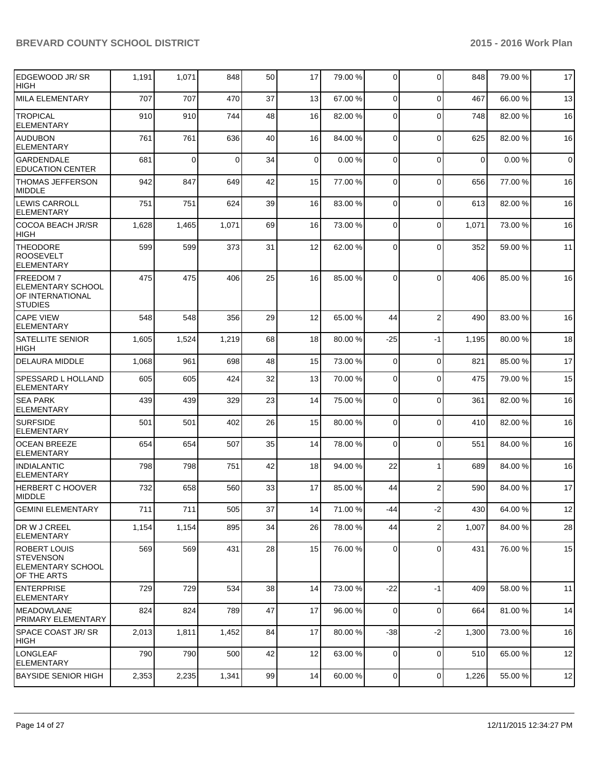| EDGEWOOD JR/SR<br><b>HIGH</b>                                                      | 1,191 | 1,071          | 848      | 50 | 17              | 79.00 % | 0              | $\Omega$       | 848      | 79.00 % | 17          |
|------------------------------------------------------------------------------------|-------|----------------|----------|----|-----------------|---------|----------------|----------------|----------|---------|-------------|
| <b>MILA ELEMENTARY</b>                                                             | 707   | 707            | 470      | 37 | 13              | 67.00 % | 0              | $\Omega$       | 467      | 66.00 % | 13          |
| <b>TROPICAL</b><br><b>ELEMENTARY</b>                                               | 910   | 910            | 744      | 48 | 16              | 82.00 % | $\Omega$       | $\Omega$       | 748      | 82.00 % | 16          |
| <b>AUDUBON</b><br>ELEMENTARY                                                       | 761   | 761            | 636      | 40 | 16              | 84.00 % | $\mathbf 0$    | $\Omega$       | 625      | 82.00%  | 16          |
| <b>GARDENDALE</b><br><b>EDUCATION CENTER</b>                                       | 681   | $\overline{0}$ | $\Omega$ | 34 | $\mathbf 0$     | 0.00%   | $\mathbf 0$    | $\Omega$       | $\Omega$ | 0.00%   | $\mathbf 0$ |
| <b>THOMAS JEFFERSON</b><br><b>MIDDLE</b>                                           | 942   | 847            | 649      | 42 | 15              | 77.00 % | 0              | $\Omega$       | 656      | 77.00 % | 16          |
| <b>LEWIS CARROLL</b><br><b>ELEMENTARY</b>                                          | 751   | 751            | 624      | 39 | 16              | 83.00 % | $\Omega$       | $\Omega$       | 613      | 82.00%  | 16          |
| <b>COCOA BEACH JR/SR</b><br><b>HIGH</b>                                            | 1,628 | 1,465          | 1,071    | 69 | 16              | 73.00 % | 0              | 0              | 1,071    | 73.00 % | 16          |
| <b>THEODORE</b><br><b>ROOSEVELT</b><br>ELEMENTARY                                  | 599   | 599            | 373      | 31 | 12              | 62.00 % | $\Omega$       | $\Omega$       | 352      | 59.00 % | 11          |
| <b>FREEDOM7</b><br><b>ELEMENTARY SCHOOL</b><br>OF INTERNATIONAL<br><b>STUDIES</b>  | 475   | 475            | 406      | 25 | 16              | 85.00 % | $\Omega$       | $\Omega$       | 406      | 85.00 % | 16          |
| <b>CAPE VIEW</b><br><b>ELEMENTARY</b>                                              | 548   | 548            | 356      | 29 | 12              | 65.00 % | 44             | $\overline{2}$ | 490      | 83.00 % | 16          |
| <b>SATELLITE SENIOR</b><br><b>HIGH</b>                                             | 1,605 | 1,524          | 1,219    | 68 | 18              | 80.00 % | $-25$          | $-1$           | 1,195    | 80.00 % | 18          |
| <b>DELAURA MIDDLE</b>                                                              | 1,068 | 961            | 698      | 48 | 15              | 73.00 % | $\mathbf 0$    | $\mathbf 0$    | 821      | 85.00 % | 17          |
| <b>SPESSARD L HOLLAND</b><br><b>ELEMENTARY</b>                                     | 605   | 605            | 424      | 32 | 13              | 70.00 % | $\Omega$       | $\Omega$       | 475      | 79.00 % | 15          |
| <b>SEA PARK</b><br><b>ELEMENTARY</b>                                               | 439   | 439            | 329      | 23 | 14              | 75.00 % | $\mathbf 0$    | $\mathbf 0$    | 361      | 82.00 % | 16          |
| <b>SURFSIDE</b><br><b>ELEMENTARY</b>                                               | 501   | 501            | 402      | 26 | 15              | 80.00 % | 0              | $\Omega$       | 410      | 82.00 % | 16          |
| <b>OCEAN BREEZE</b><br><b>ELEMENTARY</b>                                           | 654   | 654            | 507      | 35 | 14              | 78.00 % | 0              | $\Omega$       | 551      | 84.00 % | 16          |
| <b>INDIALANTIC</b><br><b>ELEMENTARY</b>                                            | 798   | 798            | 751      | 42 | 18              | 94.00 % | 22             |                | 689      | 84.00 % | 16          |
| <b>HERBERT C HOOVER</b><br><b>MIDDLE</b>                                           | 732   | 658            | 560      | 33 | 17              | 85.00 % | 44             | $\overline{2}$ | 590      | 84.00 % | 17          |
| <b>GEMINI ELEMENTARY</b>                                                           | 711   | 711            | 505      | 37 | 14 <sup>1</sup> | 71.00 % | $-44$          | $-2$           | 430      | 64.00%  | 12          |
| DR W J CREEL<br><b>ELEMENTARY</b>                                                  | 1,154 | 1,154          | 895      | 34 | 26              | 78.00 % | 44             | $\overline{2}$ | 1,007    | 84.00 % | 28          |
| <b>ROBERT LOUIS</b><br><b>STEVENSON</b><br><b>ELEMENTARY SCHOOL</b><br>OF THE ARTS | 569   | 569            | 431      | 28 | 15              | 76.00 % | 0              | $\mathbf 0$    | 431      | 76.00 % | 15          |
| <b>ENTERPRISE</b><br><b>ELEMENTARY</b>                                             | 729   | 729            | 534      | 38 | 14              | 73.00 % | $-22$          | $-1$           | 409      | 58.00 % | 11          |
| <b>IMEADOWLANE</b><br>PRIMARY ELEMENTARY                                           | 824   | 824            | 789      | 47 | 17              | 96.00 % | $\mathbf 0$    | $\mathbf 0$    | 664      | 81.00%  | 14          |
| <b>SPACE COAST JR/SR</b><br>HIGH                                                   | 2,013 | 1,811          | 1,452    | 84 | 17              | 80.00 % | $-38$          | $-2$           | 1,300    | 73.00 % | 16          |
| <b>LONGLEAF</b><br><b>ELEMENTARY</b>                                               | 790   | 790            | 500      | 42 | 12              | 63.00 % | 0              | $\mathbf 0$    | 510      | 65.00 % | 12          |
| <b>BAYSIDE SENIOR HIGH</b>                                                         | 2,353 | 2,235          | 1,341    | 99 | 14              | 60.00 % | $\overline{0}$ | 0              | 1,226    | 55.00 % | 12          |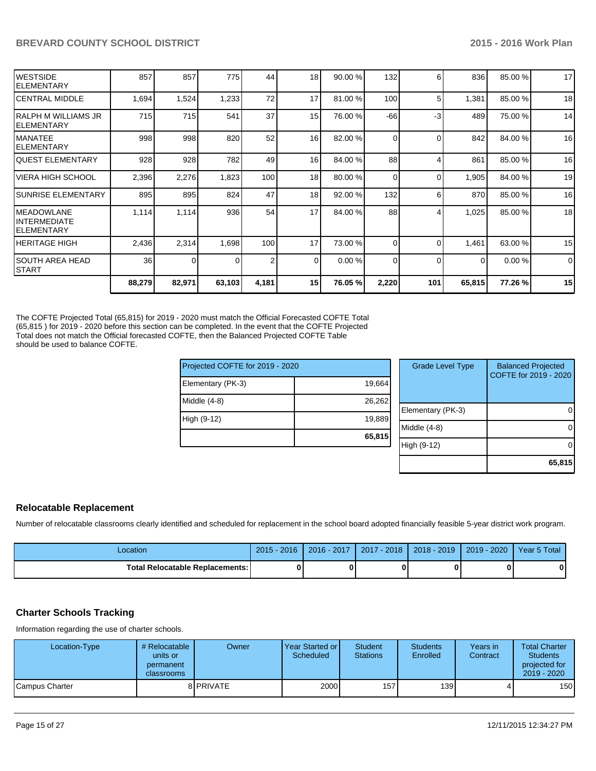| <b>IWESTSIDE</b><br><b>IELEMENTARY</b>      | 857    | 857      | 775    | 44    | 18 <sub>l</sub> | 90.00%  | 132      | 6        | 836      | 85.00 % | 17          |
|---------------------------------------------|--------|----------|--------|-------|-----------------|---------|----------|----------|----------|---------|-------------|
| ICENTRAL MIDDLE                             | 1,694  | 1,524    | 1,233  | 72    | 17              | 81.00 % | 100      | 5        | 1,381    | 85.00 % | 18          |
| IRALPH M WILLIAMS JR<br>IELEMENTARY         | 715    | 715      | 541    | 37    | 15              | 76.00 % | $-66$    | -3       | 489      | 75.00 % | 14          |
| <b>MANATEE</b><br>IELEMENTARY               | 998    | 998      | 820    | 52    | 16              | 82.00 % | $\Omega$ | $\Omega$ | 842      | 84.00%  | 16          |
| IQUEST ELEMENTARY                           | 928    | 928      | 782    | 49    | 16              | 84.00 % | 88       | Δ        | 861      | 85.00 % | 16          |
| <b>VIERA HIGH SCHOOL</b>                    | 2,396  | 2,276    | 1,823  | 100   | 18              | 80.00 % | $\Omega$ | $\Omega$ | 1,905    | 84.00%  | 19          |
| <b>SUNRISE ELEMENTARY</b>                   | 895    | 895      | 824    | 47    | 18              | 92.00 % | 132      | 6        | 870      | 85.00 % | 16          |
| IMEADOWLANE<br>IINTERMEDIATE<br>IELEMENTARY | 1,114  | 1,114    | 936    | 54    | 17              | 84.00 % | 88       |          | 1,025    | 85.00 % | 18          |
| IHERITAGE HIGH                              | 2,436  | 2,314    | 1,698  | 100   | 17              | 73.00 % | $\Omega$ | $\Omega$ | 1,461    | 63.00 % | 15          |
| <b>SOUTH AREA HEAD</b><br><b>START</b>      | 36     | $\Omega$ |        | 2     | $\Omega$        | 0.00%   | $\Omega$ | $\Omega$ | $\Omega$ | 0.00%   | $\mathbf 0$ |
|                                             | 88,279 | 82,971   | 63,103 | 4,181 | 15 <sup>1</sup> | 76.05 % | 2,220    | 101      | 65,815   | 77.26%  | 15          |

The COFTE Projected Total (65,815) for 2019 - 2020 must match the Official Forecasted COFTE Total (65,815 ) for 2019 - 2020 before this section can be completed. In the event that the COFTE Projected Total does not match the Official forecasted COFTE, then the Balanced Projected COFTE Table should be used to balance COFTE.

| Projected COFTE for 2019 - 2020 |        | <b>Grade Level Type</b> | <b>Balanced Projected</b><br>COFTE for 2019 - 2020 |
|---------------------------------|--------|-------------------------|----------------------------------------------------|
| Elementary (PK-3)               | 19,664 |                         |                                                    |
| $Middle (4-8)$                  | 26,262 |                         |                                                    |
|                                 |        | Elementary (PK-3)       | 0                                                  |
| High (9-12)                     | 19,889 |                         |                                                    |
|                                 |        | Middle (4-8)            | 0                                                  |
|                                 | 65,815 |                         |                                                    |
|                                 |        | High (9-12)             | $\Omega$                                           |
|                                 |        |                         |                                                    |
|                                 |        |                         | 65,815                                             |

#### **Relocatable Replacement**

Number of relocatable classrooms clearly identified and scheduled for replacement in the school board adopted financially feasible 5-year district work program.

| Location                               | $2015 - 2016$ | $2016 - 2017$ | 2017 - 2018 | 2018 - 2019 | 2019 - 2020 | Year 5 Total |
|----------------------------------------|---------------|---------------|-------------|-------------|-------------|--------------|
| <b>Total Relocatable Replacements:</b> |               |               |             |             |             |              |

#### **Charter Schools Tracking**

Information regarding the use of charter schools.

| Location-Type  | # Relocatable<br>units or<br>permanent<br><b>classrooms</b> | Owner            | Year Started or I<br>Scheduled | <b>Student</b><br><b>Stations</b> | <b>Students</b><br>Enrolled | Years in<br>Contract | <b>Total Charter</b><br><b>Students</b><br>projected for<br>2019 - 2020 |
|----------------|-------------------------------------------------------------|------------------|--------------------------------|-----------------------------------|-----------------------------|----------------------|-------------------------------------------------------------------------|
| Campus Charter |                                                             | 8 <b>PRIVATE</b> | 2000                           | 157                               | 139                         |                      | 150                                                                     |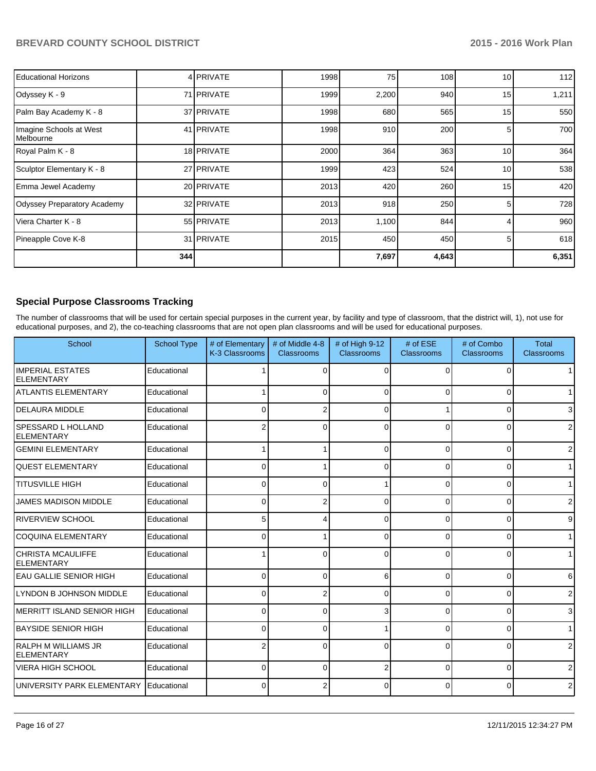| Educational Horizons                          |     | 4 PRIVATE         | 1998 | 75    | 108   | 10 <sup>1</sup> | 112   |
|-----------------------------------------------|-----|-------------------|------|-------|-------|-----------------|-------|
| Odyssey K - 9                                 |     | 71 PRIVATE        | 1999 | 2,200 | 940   | 15              | 1,211 |
| Palm Bay Academy K - 8                        |     | 37 PRIVATE        | 1998 | 680   | 565   | 15              | 550   |
| Imagine Schools at West<br><b>I</b> Melbourne |     | 41 <b>PRIVATE</b> | 1998 | 910   | 200   | 5.              | 700   |
| Royal Palm K - 8                              |     | 18 PRIVATE        | 2000 | 364   | 363   | 10 <sup>1</sup> | 364   |
| Sculptor Elementary K - 8                     |     | 27 PRIVATE        | 1999 | 423   | 524   | 10              | 538   |
| Emma Jewel Academy                            |     | 20 PRIVATE        | 2013 | 420   | 260   | 15              | 420   |
| Odyssey Preparatory Academy                   |     | 32 PRIVATE        | 2013 | 918   | 250   |                 | 728   |
| l Viera Charter K - 8                         |     | 55 PRIVATE        | 2013 | 1,100 | 844   |                 | 960   |
| Pineapple Cove K-8                            |     | 31 <b>PRIVATE</b> | 2015 | 450   | 450   | 5               | 618   |
|                                               | 344 |                   |      | 7,697 | 4,643 |                 | 6,351 |

## **Special Purpose Classrooms Tracking**

The number of classrooms that will be used for certain special purposes in the current year, by facility and type of classroom, that the district will, 1), not use for educational purposes, and 2), the co-teaching classrooms that are not open plan classrooms and will be used for educational purposes.

| School                                          | <b>School Type</b> | # of Elementary<br>K-3 Classrooms | # of Middle 4-8<br>Classrooms | # of High 9-12<br><b>Classrooms</b> | $#$ of $ESE$<br>Classrooms | # of Combo<br>Classrooms | <b>Total</b><br>Classrooms |
|-------------------------------------------------|--------------------|-----------------------------------|-------------------------------|-------------------------------------|----------------------------|--------------------------|----------------------------|
| <b>IMPERIAL ESTATES</b><br><b>ELEMENTARY</b>    | Educational        |                                   | 0                             | r                                   | $\Omega$                   | $\Omega$                 | $\mathbf{1}$               |
| <b>ATLANTIS ELEMENTARY</b>                      | Educational        |                                   | 0                             |                                     | 0                          | $\Omega$                 | $\mathbf{1}$               |
| <b>DELAURA MIDDLE</b>                           | Educational        | $\Omega$                          | 2                             | ∩                                   |                            | $\Omega$                 | 3                          |
| <b>SPESSARD L HOLLAND</b><br><b>ELEMENTARY</b>  | Educational        | 2                                 | 0                             | ∩                                   | <sup>0</sup>               | 0                        | $\overline{2}$             |
| <b>GEMINI ELEMENTARY</b>                        | Educational        |                                   |                               | C                                   | $\Omega$                   | $\Omega$                 | $\overline{2}$             |
| <b>QUEST ELEMENTARY</b>                         | Educational        | U                                 |                               | ∩                                   | $\Omega$                   | $\Omega$                 | $\mathbf{1}$               |
| <b>TITUSVILLE HIGH</b>                          | Educational        | $\Omega$                          | 0                             |                                     | 0                          | 0                        | $\mathbf{1}$               |
| <b>JAMES MADISON MIDDLE</b>                     | Educational        | $\Omega$                          | 2                             | ∩                                   | 0                          | $\Omega$                 | $\mathbf{2}$               |
| <b>RIVERVIEW SCHOOL</b>                         | Educational        | 5                                 | 4                             | $\Omega$                            | $\Omega$                   | $\overline{0}$           | $9\,$                      |
| <b>COQUINA ELEMENTARY</b>                       | Educational        | $\Omega$                          |                               |                                     | $\Omega$                   | 0                        | $\mathbf{1}$               |
| <b>CHRISTA MCAULIFFE</b><br><b>ELEMENTARY</b>   | Educational        |                                   | 0                             | U                                   | <sup>0</sup>               | 0                        | $\vert$ 1                  |
| IEAU GALLIE SENIOR HIGH                         | Educational        | $\Omega$                          | 0                             | 6                                   | $\Omega$                   | 0                        | $6 \overline{6}$           |
| LYNDON B JOHNSON MIDDLE                         | Educational        | U                                 | 2                             |                                     | U                          | 0                        | $\overline{2}$             |
| IMERRITT ISLAND SENIOR HIGH                     | Educational        | 0                                 | 0                             |                                     | $\Omega$                   | $\overline{0}$           | 3                          |
| IBAYSIDE SENIOR HIGH                            | Educational        | $\Omega$                          | 0                             |                                     | $\Omega$                   | 0                        | $\mathbf{1}$               |
| <b>RALPH M WILLIAMS JR</b><br><b>ELEMENTARY</b> | Educational        |                                   | 0                             | c                                   | <sup>0</sup>               | 0                        | $\mathbf{2}$               |
| VIERA HIGH SCHOOL                               | Educational        | $\Omega$                          | 0                             | 2                                   | $\Omega$                   | $\Omega$                 | $\overline{2}$             |
| UNIVERSITY PARK ELEMENTARY                      | Educational        | 0                                 | 2                             |                                     | 0                          | 0                        | $\overline{2}$             |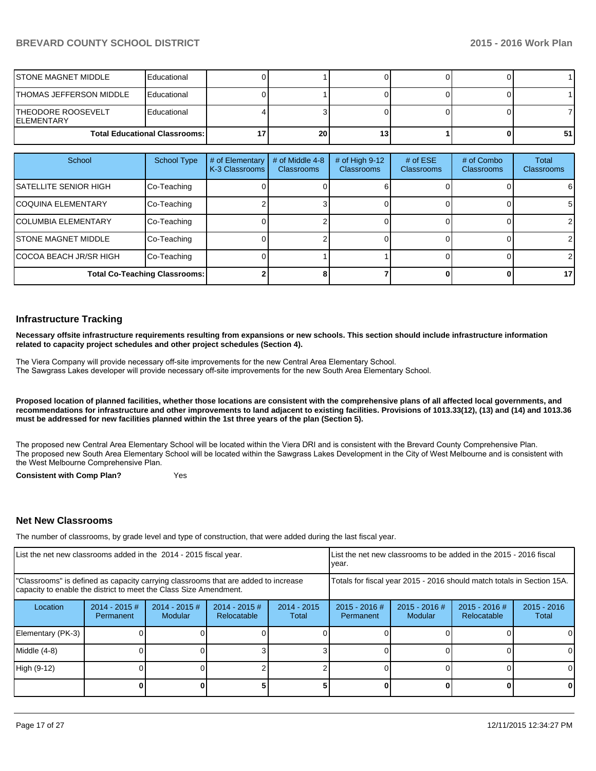| ISTONE MAGNET MIDDLE                     | Educational |                 |     |   |    |
|------------------------------------------|-------------|-----------------|-----|---|----|
| THOMAS JEFFERSON MIDDLE                  | Educational |                 |     |   |    |
| THEODORE ROOSEVELT<br><b>IELEMENTARY</b> | Educational |                 |     |   |    |
| <b>Total Educational Classrooms: I</b>   |             | 20 <sub>l</sub> | 131 | 0 | 51 |

| School                               | <b>School Type</b> | # of Elementary<br>K-3 Classrooms | # of Middle 4-8<br><b>Classrooms</b> | # of High 9-12<br><b>Classrooms</b> | # of $ESE$<br><b>Classrooms</b> | # of Combo<br><b>Classrooms</b> | Total<br><b>Classrooms</b> |
|--------------------------------------|--------------------|-----------------------------------|--------------------------------------|-------------------------------------|---------------------------------|---------------------------------|----------------------------|
| <b>SATELLITE SENIOR HIGH</b>         | Co-Teaching        |                                   |                                      |                                     |                                 |                                 | 6                          |
| ICOQUINA ELEMENTARY                  | Co-Teaching        |                                   |                                      |                                     |                                 |                                 | 5                          |
| <b>ICOLUMBIA ELEMENTARY</b>          | Co-Teaching        |                                   |                                      |                                     |                                 |                                 | $\overline{2}$             |
| <b>STONE MAGNET MIDDLE</b>           | Co-Teaching        |                                   |                                      |                                     |                                 |                                 | $\mathcal{P}$              |
| ICOCOA BEACH JR/SR HIGH              | Co-Teaching        |                                   |                                      |                                     |                                 |                                 | $\overline{2}$             |
| <b>Total Co-Teaching Classrooms:</b> |                    |                                   |                                      |                                     |                                 |                                 | 17                         |

#### **Infrastructure Tracking**

**Necessary offsite infrastructure requirements resulting from expansions or new schools. This section should include infrastructure information related to capacity project schedules and other project schedules (Section 4).**

The Viera Company will provide necessary off-site improvements for the new Central Area Elementary School. The Sawgrass Lakes developer will provide necessary off-site improvements for the new South Area Elementary School.

**Proposed location of planned facilities, whether those locations are consistent with the comprehensive plans of all affected local governments, and recommendations for infrastructure and other improvements to land adjacent to existing facilities. Provisions of 1013.33(12), (13) and (14) and 1013.36 must be addressed for new facilities planned within the 1st three years of the plan (Section 5).**

The proposed new Central Area Elementary School will be located within the Viera DRI and is consistent with the Brevard County Comprehensive Plan. The proposed new South Area Elementary School will be located within the Sawgrass Lakes Development in the City of West Melbourne and is consistent with the West Melbourne Comprehensive Plan.

**Consistent with Comp Plan?** Yes

#### **Net New Classrooms**

The number of classrooms, by grade level and type of construction, that were added during the last fiscal year.

| List the net new classrooms added in the 2014 - 2015 fiscal year.                                                                                       |                               |                                   |                                | List the net new classrooms to be added in the 2015 - 2016 fiscal<br>vear. |                              |                            |                              |                        |
|---------------------------------------------------------------------------------------------------------------------------------------------------------|-------------------------------|-----------------------------------|--------------------------------|----------------------------------------------------------------------------|------------------------------|----------------------------|------------------------------|------------------------|
| "Classrooms" is defined as capacity carrying classrooms that are added to increase<br>capacity to enable the district to meet the Class Size Amendment. |                               |                                   |                                | Totals for fiscal year 2015 - 2016 should match totals in Section 15A.     |                              |                            |                              |                        |
| Location                                                                                                                                                | $2014 - 2015 \#$<br>Permanent | $2014 - 2015$ #<br><b>Modular</b> | $2014 - 2015$ #<br>Relocatable | $2014 - 2015$<br>Total                                                     | $2015 - 2016$ #<br>Permanent | $2015 - 2016$ #<br>Modular | 2015 - 2016 #<br>Relocatable | $2015 - 2016$<br>Total |
| Elementary (PK-3)                                                                                                                                       |                               |                                   |                                |                                                                            |                              |                            |                              |                        |
| Middle (4-8)                                                                                                                                            |                               |                                   |                                |                                                                            |                              |                            |                              |                        |
| High (9-12)                                                                                                                                             |                               |                                   |                                |                                                                            |                              |                            |                              | 0                      |
|                                                                                                                                                         |                               |                                   |                                |                                                                            |                              |                            |                              | 0                      |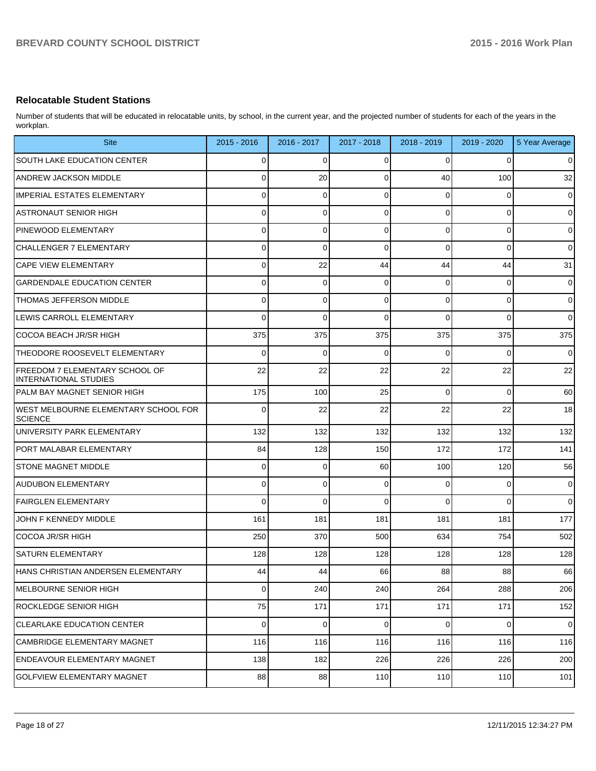#### **Relocatable Student Stations**

Number of students that will be educated in relocatable units, by school, in the current year, and the projected number of students for each of the years in the workplan.

| <b>Site</b>                                                    | 2015 - 2016    | 2016 - 2017 | 2017 - 2018 | 2018 - 2019    | 2019 - 2020    | 5 Year Average |
|----------------------------------------------------------------|----------------|-------------|-------------|----------------|----------------|----------------|
| SOUTH LAKE EDUCATION CENTER                                    | 0              | 0           | 0           | 0              | 0              | $\overline{0}$ |
| <b>ANDREW JACKSON MIDDLE</b>                                   | 0              | 20          | 0           | 40             | 100            | 32             |
| <b>IMPERIAL ESTATES ELEMENTARY</b>                             | 0              | $\mathbf 0$ | 0           | 0              | 0              | $\overline{0}$ |
| <b>ASTRONAUT SENIOR HIGH</b>                                   | 0              | 0           | 0           | $\Omega$       | 0              | $\overline{0}$ |
| PINEWOOD ELEMENTARY                                            | 0              | 0           | 0           | $\Omega$       | 0              | $\overline{0}$ |
| <b>CHALLENGER 7 ELEMENTARY</b>                                 | 0              | $\mathbf 0$ | 0           | $\Omega$       | 0              | $\overline{0}$ |
| <b>CAPE VIEW ELEMENTARY</b>                                    | 0              | 22          | 44          | 44             | 44             | 31             |
| <b>GARDENDALE EDUCATION CENTER</b>                             | 0              | 0           | 0           | 0              | 0              | $\overline{0}$ |
| <b>THOMAS JEFFERSON MIDDLE</b>                                 | 0              | 0           | 0           | $\Omega$       | 0              | $\overline{0}$ |
| LEWIS CARROLL ELEMENTARY                                       | 0              | 0           | 0           | 0              | $\Omega$       | $\overline{0}$ |
| COCOA BEACH JR/SR HIGH                                         | 375            | 375         | 375         | 375            | 375            | 375            |
| THEODORE ROOSEVELT ELEMENTARY                                  | 0              | 0           | 0           | 0              | $\Omega$       | $\overline{0}$ |
| <b>FREEDOM 7 ELEMENTARY SCHOOL OF</b><br>INTERNATIONAL STUDIES | 22             | 22          | 22          | 22             | 22             | 22             |
| PALM BAY MAGNET SENIOR HIGH                                    | 175            | 100         | 25          | $\Omega$       | $\mathbf 0$    | 60             |
| WEST MELBOURNE ELEMENTARY SCHOOL FOR<br><b>SCIENCE</b>         | 0              | 22          | 22          | 22             | 22             | 18             |
| UNIVERSITY PARK ELEMENTARY                                     | 132            | 132         | 132         | 132            | 132            | 132            |
| PORT MALABAR ELEMENTARY                                        | 84             | 128         | 150         | 172            | 172            | 141            |
| <b>STONE MAGNET MIDDLE</b>                                     | 0              | $\mathbf 0$ | 60          | 100            | 120            | 56             |
| AUDUBON ELEMENTARY                                             | 0              | $\mathbf 0$ | 0           | $\Omega$       | $\mathbf 0$    | $\mathbf 0$    |
| <b>FAIRGLEN ELEMENTARY</b>                                     | 0              | $\Omega$    | $\Omega$    | $\Omega$       | $\Omega$       | $\overline{0}$ |
| JOHN F KENNEDY MIDDLE                                          | 161            | 181         | 181         | 181            | 181            | 177            |
| COCOA JR/SR HIGH                                               | 250            | 370         | 500         | 634            | 754            | 502            |
| <b>SATURN ELEMENTARY</b>                                       | 128            | 128         | 128         | 128            | 128            | 128            |
| HANS CHRISTIAN ANDERSEN ELEMENTARY                             | 44             | 44          | 66          | 88             | 88             | 66             |
| MELBOURNE SENIOR HIGH                                          | $\overline{0}$ | 240         | 240         | 264            | 288            | 206            |
| ROCKLEDGE SENIOR HIGH                                          | 75             | 171         | 171         | 171            | 171            | 152            |
| <b>CLEARLAKE EDUCATION CENTER</b>                              | $\overline{0}$ | $\pmb{0}$   | $\mathbf 0$ | $\overline{0}$ | $\overline{0}$ | $\mathbf 0$    |
| CAMBRIDGE ELEMENTARY MAGNET                                    | 116            | 116         | 116         | 116            | 116            | 116            |
| ENDEAVOUR ELEMENTARY MAGNET                                    | 138            | 182         | 226         | 226            | 226            | 200            |
| GOLFVIEW ELEMENTARY MAGNET                                     | 88             | 88          | 110         | 110            | 110            | 101            |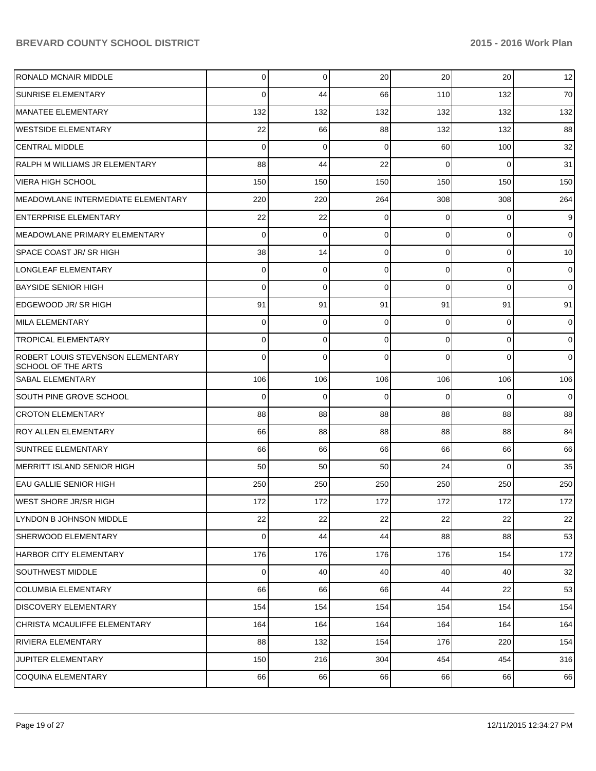| <b>RONALD MCNAIR MIDDLE</b>                             | 0              | $\Omega$ | 20       | 20 <sup>2</sup> | 20             | 12             |
|---------------------------------------------------------|----------------|----------|----------|-----------------|----------------|----------------|
| <b>SUNRISE ELEMENTARY</b>                               | 0              | 44       | 66       | 110             | 132            | 70             |
| MANATEE ELEMENTARY                                      | 132            | 132      | 132      | 132             | 132            | 132            |
| <b>WESTSIDE ELEMENTARY</b>                              | 22             | 66       | 88       | 132             | 132            | 88             |
| <b>CENTRAL MIDDLE</b>                                   | $\Omega$       | 0        | $\Omega$ | 60              | 100            | 32             |
| RALPH M WILLIAMS JR ELEMENTARY                          | 88             | 44       | 22       | $\Omega$        | $\Omega$       | 31             |
| <b>VIERA HIGH SCHOOL</b>                                | 150            | 150      | 150      | 150             | 150            | 150            |
| <b>MEADOWLANE INTERMEDIATE ELEMENTARY</b>               | 220            | 220      | 264      | 308             | 308            | 264            |
| <b>ENTERPRISE ELEMENTARY</b>                            | 22             | 22       | $\Omega$ | $\Omega$        | $\overline{0}$ | 9              |
| MEADOWLANE PRIMARY ELEMENTARY                           | 0              | 0        | $\Omega$ | $\Omega$        | $\overline{0}$ | $\overline{0}$ |
| <b>SPACE COAST JR/ SR HIGH</b>                          | 38             | 14       | $\Omega$ | $\Omega$        | $\overline{0}$ | 10             |
| LONGLEAF ELEMENTARY                                     | 0              | 0        | $\Omega$ | $\Omega$        | $\overline{0}$ | $\overline{0}$ |
| <b>BAYSIDE SENIOR HIGH</b>                              | 0              | 0        | $\Omega$ | $\Omega$        | $\Omega$       | $\overline{0}$ |
| EDGEWOOD JR/SR HIGH                                     | 91             | 91       | 91       | 91              | 91             | 91             |
| <b>MILA ELEMENTARY</b>                                  | 0              | 0        | $\Omega$ | $\Omega$        | $\overline{0}$ | $\overline{0}$ |
| <b>TROPICAL ELEMENTARY</b>                              | 0              | 0        | $\Omega$ | $\Omega$        | $\overline{0}$ | $\overline{0}$ |
| ROBERT LOUIS STEVENSON ELEMENTARY<br>SCHOOL OF THE ARTS | 0              | $\Omega$ | $\Omega$ | $\Omega$        | $\Omega$       | $\overline{0}$ |
| <b>SABAL ELEMENTARY</b>                                 | 106            | 106      | 106      | 106             | 106            | 106            |
| <b>SOUTH PINE GROVE SCHOOL</b>                          | 0              | 0        | $\Omega$ | $\Omega$        | 0              | $\mathbf 0$    |
| <b>CROTON ELEMENTARY</b>                                | 88             | 88       | 88       | 88              | 88             | 88             |
| <b>ROY ALLEN ELEMENTARY</b>                             | 66             | 88       | 88       | 88              | 88             | 84             |
| <b>SUNTREE ELEMENTARY</b>                               | 66             | 66       | 66       | 66              | 66             | 66             |
| MERRITT ISLAND SENIOR HIGH                              | 50             | 50       | 50       | 24              | $\overline{0}$ | 35             |
| EAU GALLIE SENIOR HIGH                                  | 250            | 250      | 250      | 250             | 250            | 250            |
| IWEST SHORE JR/SR HIGH                                  | 172            | 172      | 172      | 172             | 172            | 172            |
| LYNDON B JOHNSON MIDDLE                                 | 22             | 22       | 22       | 22              | 22             | 22             |
| SHERWOOD ELEMENTARY                                     | $\overline{0}$ | 44       | 44       | 88              | 88             | 53             |
| HARBOR CITY ELEMENTARY                                  | 176            | 176      | 176      | 176             | 154            | 172            |
| <b>SOUTHWEST MIDDLE</b>                                 | 0              | 40       | 40       | 40              | 40             | 32             |
| <b>COLUMBIA ELEMENTARY</b>                              | 66             | 66       | 66       | 44              | 22             | 53             |
| <b>DISCOVERY ELEMENTARY</b>                             | 154            | 154      | 154      | 154             | 154            | 154            |
| CHRISTA MCAULIFFE ELEMENTARY                            | 164            | 164      | 164      | 164             | 164            | 164            |
| <b>RIVIERA ELEMENTARY</b>                               | 88             | 132      | 154      | 176             | 220            | 154            |
| <b>JUPITER ELEMENTARY</b>                               | 150            | 216      | 304      | 454             | 454            | 316            |
| <b>COQUINA ELEMENTARY</b>                               | 66             | 66       | 66       | 66              | 66             | 66             |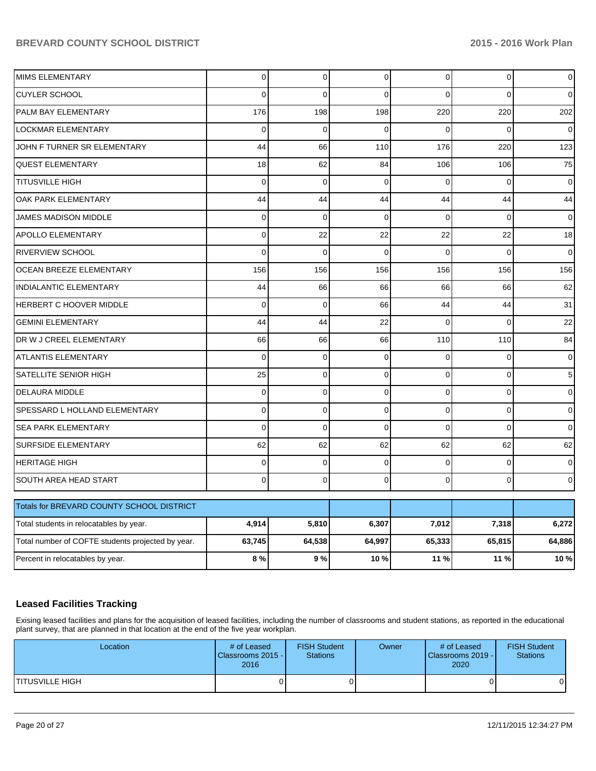| <b>MIMS ELEMENTARY</b>                            | $\Omega$       | $\Omega$    | $\Omega$       | $\Omega$       | $\Omega$ | $\overline{0}$ |
|---------------------------------------------------|----------------|-------------|----------------|----------------|----------|----------------|
| <b>CUYLER SCHOOL</b>                              | $\Omega$       | $\Omega$    | $\Omega$       | $\Omega$       | $\Omega$ | $\overline{0}$ |
| PALM BAY ELEMENTARY                               | 176            | 198         | 198            | 220            | 220      | 202            |
| LOCKMAR ELEMENTARY                                | $\overline{0}$ | $\Omega$    | $\Omega$       | $\Omega$       | $\Omega$ | $\pmb{0}$      |
| JOHN F TURNER SR ELEMENTARY                       | 44             | 66          | 110            | 176            | 220      | 123            |
| <b>QUEST ELEMENTARY</b>                           | 18             | 62          | 84             | 106            | 106      | 75             |
| <b>TITUSVILLE HIGH</b>                            | $\mathbf 0$    | $\mathbf 0$ | $\overline{0}$ | $\mathbf 0$    | 0        | 0              |
| OAK PARK ELEMENTARY                               | 44             | 44          | 44             | 44             | 44       | 44             |
| JAMES MADISON MIDDLE                              | $\mathbf 0$    | $\mathbf 0$ | $\mathbf 0$    | $\mathbf 0$    | 0        | $\overline{0}$ |
| <b>APOLLO ELEMENTARY</b>                          | $\Omega$       | 22          | 22             | 22             | 22       | 18             |
| <b>RIVERVIEW SCHOOL</b>                           | $\mathbf 0$    | $\mathbf 0$ | $\Omega$       | $\Omega$       | $\Omega$ | $\overline{0}$ |
| <b>OCEAN BREEZE ELEMENTARY</b>                    | 156            | 156         | 156            | 156            | 156      | 156            |
| <b>INDIALANTIC ELEMENTARY</b>                     | 44             | 66          | 66             | 66             | 66       | 62             |
| HERBERT C HOOVER MIDDLE                           | $\Omega$       | $\mathbf 0$ | 66             | 44             | 44       | 31             |
| <b>GEMINI ELEMENTARY</b>                          | 44             | 44          | 22             | $\Omega$       | $\Omega$ | 22             |
| DR W J CREEL ELEMENTARY                           | 66             | 66          | 66             | 110            | 110      | 84             |
| <b>ATLANTIS ELEMENTARY</b>                        | $\Omega$       | $\mathbf 0$ | $\mathbf 0$    | $\Omega$       | 0        | $\mathbf 0$    |
| <b>SATELLITE SENIOR HIGH</b>                      | 25             | $\mathbf 0$ | $\mathbf 0$    | $\overline{0}$ | 0        | 5              |
| <b>DELAURA MIDDLE</b>                             | $\mathbf 0$    | $\mathbf 0$ | $\mathbf 0$    | $\mathbf 0$    | 0        | $\mathbf 0$    |
| SPESSARD L HOLLAND ELEMENTARY                     | $\overline{0}$ | $\mathbf 0$ | $\overline{0}$ | $\overline{0}$ | 0        | $\mathbf 0$    |
| <b>SEA PARK ELEMENTARY</b>                        | $\Omega$       | $\mathbf 0$ | $\overline{0}$ | $\Omega$       | $\Omega$ | 0              |
| <b>SURFSIDE ELEMENTARY</b>                        | 62             | 62          | 62             | 62             | 62       | 62             |
| <b>HERITAGE HIGH</b>                              | $\mathbf 0$    | $\mathbf 0$ | $\mathbf 0$    | $\Omega$       | 0        | $\overline{0}$ |
| SOUTH AREA HEAD START                             | $\Omega$       | 0           | $\Omega$       | $\Omega$       | $\Omega$ | $\mathbf 0$    |
| Totals for BREVARD COUNTY SCHOOL DISTRICT         |                |             |                |                |          |                |
| Total students in relocatables by year.           | 4,914          | 5,810       | 6,307          | 7,012          | 7,318    | 6,272          |
| Total number of COFTE students projected by year. | 63,745         | 64,538      | 64,997         | 65,333         | 65,815   | 64,886         |
| Percent in relocatables by year.                  | 8%             | 9%          | 10%            | 11 %           | 11 %     | 10 %           |

## **Leased Facilities Tracking**

Exising leased facilities and plans for the acquisition of leased facilities, including the number of classrooms and student stations, as reported in the educational plant survey, that are planned in that location at the end of the five year workplan.

| Location        | # of Leased<br>Classrooms 2015 -<br>2016 | <b>FISH Student</b><br><b>Stations</b> | Owner | # of Leased<br><b>IClassrooms 2019 -</b><br>2020 | <b>FISH Student</b><br>Stations |
|-----------------|------------------------------------------|----------------------------------------|-------|--------------------------------------------------|---------------------------------|
| TITUSVILLE HIGH |                                          |                                        |       |                                                  |                                 |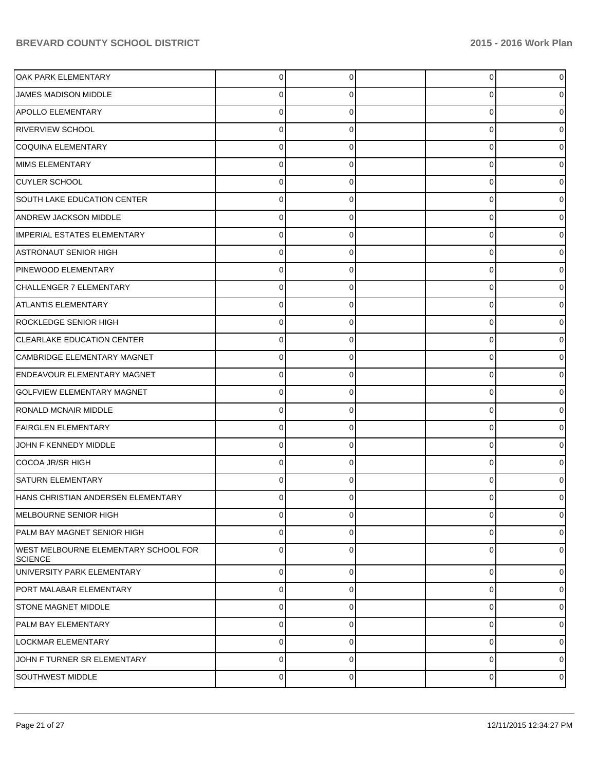| OAK PARK ELEMENTARY                                    | 0           | 0 | $\overline{0}$ | 0              |
|--------------------------------------------------------|-------------|---|----------------|----------------|
| <b>JAMES MADISON MIDDLE</b>                            | 0           | 0 | 0              | 0              |
| <b>APOLLO ELEMENTARY</b>                               | 0           | 0 | 0              | 0              |
| <b>RIVERVIEW SCHOOL</b>                                | 0           | 0 | 0              | 0              |
| <b>COQUINA ELEMENTARY</b>                              | $\Omega$    | 0 | 0              |                |
| MIMS ELEMENTARY                                        | 0           | 0 | 0              | 0              |
| <b>CUYLER SCHOOL</b>                                   | 0           | 0 | 0              |                |
| <b>SOUTH LAKE EDUCATION CENTER</b>                     | 0           | 0 | 0              | 0              |
| ANDREW JACKSON MIDDLE                                  | 0           | 0 | 0              |                |
| IMPERIAL ESTATES ELEMENTARY                            | 0           | 0 | 0              | 0              |
| <b>ASTRONAUT SENIOR HIGH</b>                           | 0           | 0 | 0              |                |
| PINEWOOD ELEMENTARY                                    | 0           | 0 | 0              | 0              |
| CHALLENGER 7 ELEMENTARY                                | 0           | 0 | 0              |                |
| <b>ATLANTIS ELEMENTARY</b>                             | 0           | 0 | 0              | 0              |
| ROCKLEDGE SENIOR HIGH                                  | 0           | 0 | 0              |                |
| <b>CLEARLAKE EDUCATION CENTER</b>                      | 0           | 0 | 0              | 0              |
| CAMBRIDGE ELEMENTARY MAGNET                            | 0           | O | 0              |                |
| <b>ENDEAVOUR ELEMENTARY MAGNET</b>                     | 0           | 0 | 0              | 0              |
| <b>GOLFVIEW ELEMENTARY MAGNET</b>                      | 0           | 0 | 0              |                |
| <b>RONALD MCNAIR MIDDLE</b>                            | $\Omega$    | 0 | 0              | 0              |
| <b>FAIRGLEN ELEMENTARY</b>                             | $\Omega$    | 0 | 0              |                |
| JOHN F KENNEDY MIDDLE                                  | $\Omega$    | 0 | 0              | 0              |
| COCOA JR/SR HIGH                                       | $\Omega$    | O | 0              |                |
| <b>SATURN ELEMENTARY</b>                               | $\Omega$    | 0 | 0              |                |
| HANS CHRISTIAN ANDERSEN ELEMENTARY                     | ŋ           |   | O              |                |
| MELBOURNE SENIOR HIGH                                  | $\mathbf 0$ | 0 | 0              | $\overline{0}$ |
| PALM BAY MAGNET SENIOR HIGH                            | $\mathbf 0$ | 0 | 0              | $\overline{0}$ |
| WEST MELBOURNE ELEMENTARY SCHOOL FOR<br><b>SCIENCE</b> | $\mathbf 0$ | 0 | 0              | $\overline{0}$ |
| UNIVERSITY PARK ELEMENTARY                             | $\Omega$    | 0 | 0              | $\overline{0}$ |
| PORT MALABAR ELEMENTARY                                | $\mathbf 0$ | 0 | 0              | $\overline{0}$ |
| <b>STONE MAGNET MIDDLE</b>                             | $\mathbf 0$ | 0 | 0              | $\overline{0}$ |
| <b>PALM BAY ELEMENTARY</b>                             | $\mathbf 0$ | 0 | 0              | $\overline{0}$ |
| <b>LOCKMAR ELEMENTARY</b>                              | $\mathbf 0$ | 0 | 0              | $\overline{0}$ |
| JOHN F TURNER SR ELEMENTARY                            | $\mathbf 0$ | 0 | 0              | $\overline{0}$ |
| <b>SOUTHWEST MIDDLE</b>                                | $\pmb{0}$   | 0 | 0              | $\circ$        |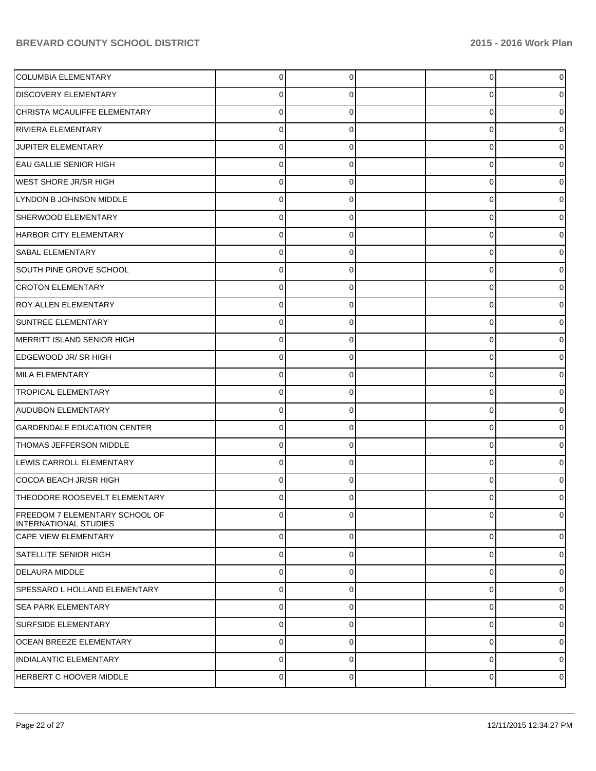| COLUMBIA ELEMENTARY                                            | 0              | 0        | 0        | $\overline{0}$ |
|----------------------------------------------------------------|----------------|----------|----------|----------------|
| <b>DISCOVERY ELEMENTARY</b>                                    | 0              |          | 0        | 0              |
| CHRISTA MCAULIFFE ELEMENTARY                                   | 0              |          | 0        | 0              |
| <b>RIVIERA ELEMENTARY</b>                                      | 0              | 0        | 0        | 0              |
| JUPITER ELEMENTARY                                             | 0              |          | 0        | 0              |
| <b>EAU GALLIE SENIOR HIGH</b>                                  | 0              | 0        | 0        | 0              |
| <b>WEST SHORE JR/SR HIGH</b>                                   | 0              |          | 0        | 0              |
| LYNDON B JOHNSON MIDDLE                                        | 0              | 0        | 0        | 0              |
| SHERWOOD ELEMENTARY                                            | 0              |          | 0        | 0              |
| HARBOR CITY ELEMENTARY                                         | 0              | 0        | 0        | 0              |
| <b>SABAL ELEMENTARY</b>                                        | 0              |          | 0        | 0              |
| SOUTH PINE GROVE SCHOOL                                        | 0              | 0        | 0        | 0              |
| <b>CROTON ELEMENTARY</b>                                       | 0              |          | 0        | 0              |
| <b>ROY ALLEN ELEMENTARY</b>                                    | 0              | 0        | 0        | 0              |
| SUNTREE ELEMENTARY                                             | 0              | 0        | 0        | 0              |
| MERRITT ISLAND SENIOR HIGH                                     | 0              | 0        | 0        | 0              |
| EDGEWOOD JR/SR HIGH                                            | 0              |          | 0        | 0              |
| MILA ELEMENTARY                                                | 0              | 0        | 0        | 0              |
| <b>TROPICAL ELEMENTARY</b>                                     | 0              | 0        | 0        | 0              |
| AUDUBON ELEMENTARY                                             | 0              | 0        | 0        | 0              |
| <b>GARDENDALE EDUCATION CENTER</b>                             | 0              |          | 0        | 0              |
| <b>THOMAS JEFFERSON MIDDLE</b>                                 | 0              | 0        | 0        | 0              |
| LEWIS CARROLL ELEMENTARY                                       | 0              |          | 0        | 0              |
| COCOA BEACH JR/SR HIGH                                         | 0              | 0        | 0        | 0              |
| THEODORE ROOSEVELT ELEMENTARY                                  | 0              | 0        | 0        | 0              |
| FREEDOM 7 ELEMENTARY SCHOOL OF<br><b>INTERNATIONAL STUDIES</b> | $\Omega$       | 0        | $\Omega$ | $\overline{0}$ |
| <b>CAPE VIEW ELEMENTARY</b>                                    | $\overline{0}$ | $\Omega$ | $\Omega$ | $\overline{0}$ |
| <b>SATELLITE SENIOR HIGH</b>                                   | $\mathbf 0$    | $\Omega$ | 0        | $\overline{0}$ |
| DELAURA MIDDLE                                                 | $\Omega$       | $\Omega$ | 0        | $\overline{0}$ |
| SPESSARD L HOLLAND ELEMENTARY                                  | $\Omega$       | $\Omega$ | 0        | $\overline{0}$ |
| <b>SEA PARK ELEMENTARY</b>                                     | $\Omega$       | $\Omega$ | 0        | $\overline{0}$ |
| <b>SURFSIDE ELEMENTARY</b>                                     | $\mathbf 0$    | $\Omega$ | 0        | $\overline{0}$ |
| <b>OCEAN BREEZE ELEMENTARY</b>                                 | $\Omega$       | $\Omega$ | 0        | $\overline{0}$ |
| <b>INDIALANTIC ELEMENTARY</b>                                  | $\Omega$       | $\Omega$ | 0        | $\overline{0}$ |
| HERBERT C HOOVER MIDDLE                                        | $\mathbf 0$    | 0        | 0        | $\circ$        |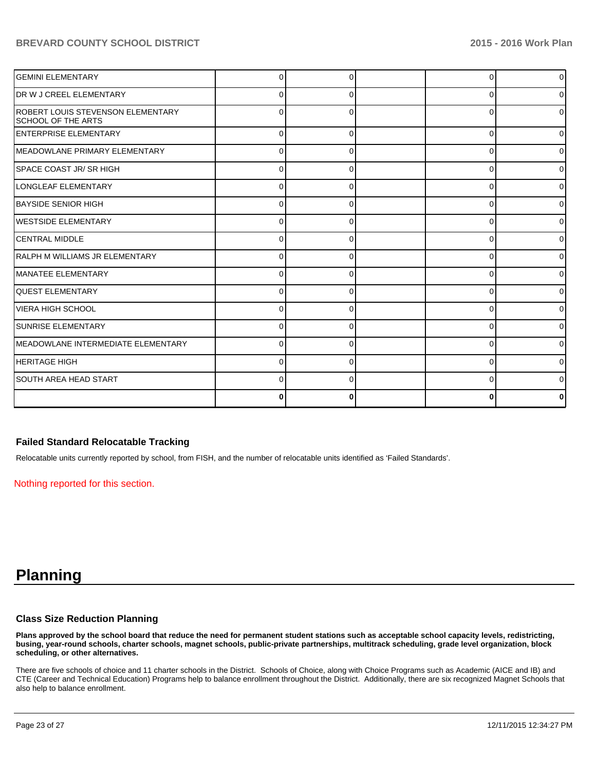| <b>GEMINI ELEMENTARY</b>                                       |          |   | ∩        | $\overline{0}$ |
|----------------------------------------------------------------|----------|---|----------|----------------|
| DR W J CREEL ELEMENTARY                                        | U        |   | $\Omega$ | $\overline{0}$ |
| <b>ROBERT LOUIS STEVENSON ELEMENTARY</b><br>SCHOOL OF THE ARTS | ŋ        |   | 0        | $\overline{0}$ |
| <b>ENTERPRISE ELEMENTARY</b>                                   | $\Omega$ | 0 | 0        | 01             |
| <b>IMEADOWLANE PRIMARY ELEMENTARY</b>                          | O        |   | 0        | 01             |
| SPACE COAST JR/ SR HIGH                                        |          |   | 0        | 0              |
| LONGLEAF ELEMENTARY                                            |          |   | $\Omega$ | $\overline{0}$ |
| <b>BAYSIDE SENIOR HIGH</b>                                     |          |   | $\Omega$ | $\overline{0}$ |
| <b>WESTSIDE ELEMENTARY</b>                                     |          |   | U        | $\overline{0}$ |
| <b>CENTRAL MIDDLE</b>                                          | n        |   | $\Omega$ | $\overline{0}$ |
| RALPH M WILLIAMS JR ELEMENTARY                                 |          |   | 0        | $\overline{0}$ |
| IMANATEE ELEMENTARY                                            | ∩        |   | $\Omega$ | $\overline{0}$ |
| <b>IQUEST ELEMENTARY</b>                                       | ∩        |   | U        | $\overline{0}$ |
| VIERA HIGH SCHOOL                                              |          |   | U        | $\overline{0}$ |
| <b>SUNRISE ELEMENTARY</b>                                      | ∩        |   | 0        | 0l             |
| IMEADOWLANE INTERMEDIATE ELEMENTARY                            | U        |   | O        | $\overline{0}$ |
| <b>HERITAGE HIGH</b>                                           | U        |   | U        | 0              |
| ISOUTH AREA HEAD START                                         | U        | n | $\Omega$ | οI             |
|                                                                | ŋ        |   | ŋ        | 0              |

#### **Failed Standard Relocatable Tracking**

Relocatable units currently reported by school, from FISH, and the number of relocatable units identified as 'Failed Standards'.

Nothing reported for this section.

## **Planning**

#### **Class Size Reduction Planning**

**Plans approved by the school board that reduce the need for permanent student stations such as acceptable school capacity levels, redistricting, busing, year-round schools, charter schools, magnet schools, public-private partnerships, multitrack scheduling, grade level organization, block scheduling, or other alternatives.**

There are five schools of choice and 11 charter schools in the District. Schools of Choice, along with Choice Programs such as Academic (AICE and IB) and CTE (Career and Technical Education) Programs help to balance enrollment throughout the District. Additionally, there are six recognized Magnet Schools that also help to balance enrollment.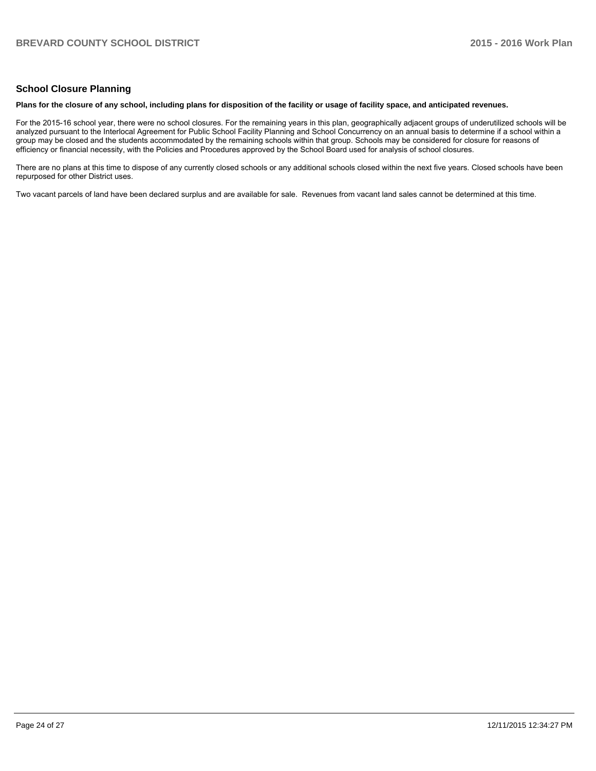#### **School Closure Planning**

#### **Plans for the closure of any school, including plans for disposition of the facility or usage of facility space, and anticipated revenues.**

For the 2015-16 school year, there were no school closures. For the remaining years in this plan, geographically adjacent groups of underutilized schools will be analyzed pursuant to the Interlocal Agreement for Public School Facility Planning and School Concurrency on an annual basis to determine if a school within a group may be closed and the students accommodated by the remaining schools within that group. Schools may be considered for closure for reasons of efficiency or financial necessity, with the Policies and Procedures approved by the School Board used for analysis of school closures.

There are no plans at this time to dispose of any currently closed schools or any additional schools closed within the next five years. Closed schools haye been repurposed for other District uses.

Two vacant parcels of land have been declared surplus and are available for sale. Revenues from vacant land sales cannot be determined at this time.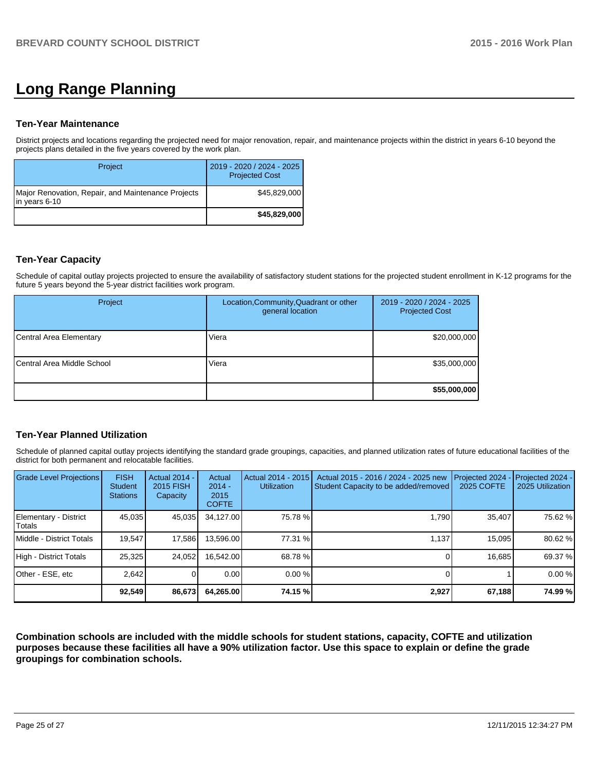# **Long Range Planning**

#### **Ten-Year Maintenance**

District projects and locations regarding the projected need for major renovation, repair, and maintenance projects within the district in years 6-10 beyond the projects plans detailed in the five years covered by the work plan.

| Project                                                             | 2019 - 2020 / 2024 - 2025<br><b>Projected Cost</b> |
|---------------------------------------------------------------------|----------------------------------------------------|
| Major Renovation, Repair, and Maintenance Projects<br>in years 6-10 | \$45,829,000                                       |
|                                                                     | \$45,829,000                                       |

## **Ten-Year Capacity**

Schedule of capital outlay projects projected to ensure the availability of satisfactory student stations for the projected student enrollment in K-12 programs for the future 5 years beyond the 5-year district facilities work program.

| Project                    | Location, Community, Quadrant or other<br>general location | 2019 - 2020 / 2024 - 2025<br><b>Projected Cost</b> |
|----------------------------|------------------------------------------------------------|----------------------------------------------------|
| Central Area Elementary    | Viera                                                      | \$20,000,000                                       |
| Central Area Middle School | Viera                                                      | \$35,000,000                                       |
|                            |                                                            | \$55,000,000                                       |

### **Ten-Year Planned Utilization**

Schedule of planned capital outlay projects identifying the standard grade groupings, capacities, and planned utilization rates of future educational facilities of the district for both permanent and relocatable facilities.

| <b>Grade Level Projections</b>   | <b>FISH</b><br><b>Student</b><br><b>Stations</b> | <b>Actual 2014 -</b><br>2015 FISH<br>Capacity | Actual<br>$2014 -$<br>2015<br><b>COFTE</b> | Actual 2014 - 2015<br><b>Utilization</b> | Actual 2015 - 2016 / 2024 - 2025 new<br>Student Capacity to be added/removed | Projected 2024<br>2025 COFTE | Projected 2024 -<br>2025 Utilization |
|----------------------------------|--------------------------------------------------|-----------------------------------------------|--------------------------------------------|------------------------------------------|------------------------------------------------------------------------------|------------------------------|--------------------------------------|
| Elementary - District<br> Totals | 45.035                                           | 45,035                                        | 34.127.00                                  | 75.78 %                                  | 1.790                                                                        | 35,407                       | 75.62 %                              |
| Middle - District Totals         | 19.547                                           | 17,586                                        | 13,596.00                                  | 77.31 %                                  | 1.137                                                                        | 15.095                       | 80.62 %                              |
| High - District Totals           | 25,325                                           | 24,052                                        | 16.542.00                                  | 68.78 %                                  |                                                                              | 16.685                       | 69.37 %                              |
| Other - ESE, etc                 | 2.642                                            |                                               | 0.00                                       | $0.00\%$                                 |                                                                              |                              | 0.00%                                |
|                                  | 92,549                                           | 86,673                                        | 64,265.00                                  | 74.15 %                                  | 2,927                                                                        | 67,188                       | 74.99 %                              |

**Combination schools are included with the middle schools for student stations, capacity, COFTE and utilization purposes because these facilities all have a 90% utilization factor. Use this space to explain or define the grade groupings for combination schools.**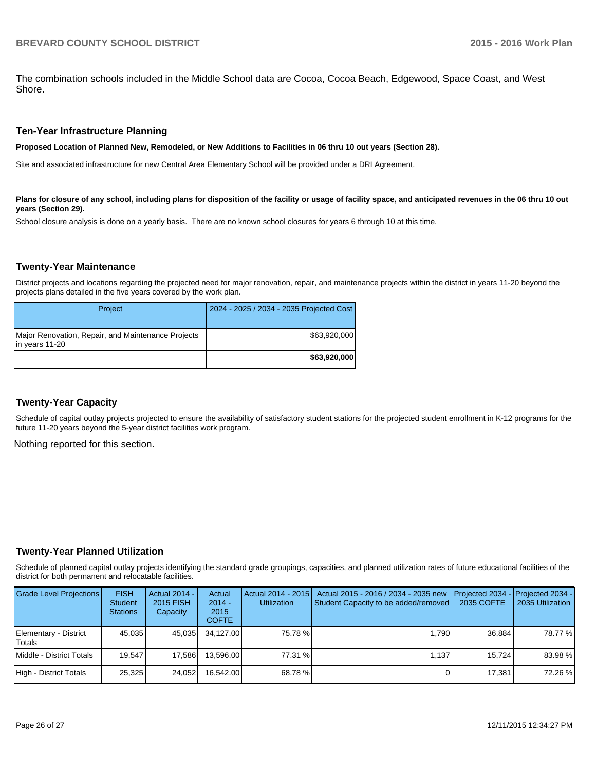The combination schools included in the Middle School data are Cocoa, Cocoa Beach, Edgewood, Space Coast, and West Shore.

#### **Ten-Year Infrastructure Planning**

**Proposed Location of Planned New, Remodeled, or New Additions to Facilities in 06 thru 10 out years (Section 28).**

Site and associated infrastructure for new Central Area Elementary School will be provided under a DRI Agreement.

Plans for closure of any school, including plans for disposition of the facility or usage of facility space, and anticipated revenues in the 06 thru 10 out **years (Section 29).**

School closure analysis is done on a yearly basis. There are no known school closures for years 6 through 10 at this time.

#### **Twenty-Year Maintenance**

District projects and locations regarding the projected need for major renovation, repair, and maintenance projects within the district in years 11-20 beyond the projects plans detailed in the five years covered by the work plan.

| Project                                                              | 2024 - 2025 / 2034 - 2035 Projected Cost |
|----------------------------------------------------------------------|------------------------------------------|
| Major Renovation, Repair, and Maintenance Projects<br>in years 11-20 | \$63,920,000                             |
|                                                                      | \$63,920,000                             |

#### **Twenty-Year Capacity**

Schedule of capital outlay projects projected to ensure the availability of satisfactory student stations for the projected student enrollment in K-12 programs for the future 11-20 years beyond the 5-year district facilities work program.

Nothing reported for this section.

#### **Twenty-Year Planned Utilization**

Schedule of planned capital outlay projects identifying the standard grade groupings, capacities, and planned utilization rates of future educational facilities of the district for both permanent and relocatable facilities.

| <b>Grade Level Projections</b>  | <b>FISH</b><br>Student<br><b>Stations</b> | Actual 2014 -<br>2015 FISH<br>Capacity | Actual<br>$2014 -$<br>2015<br><b>COFTE</b> | <b>Utilization</b> | Actual 2014 - 2015   Actual 2015 - 2016 / 2034 - 2035 new<br>Student Capacity to be added/removed | <b>IProjected 2034 - IProjected 2034 -</b><br>2035 COFTE | 2035 Utilization |
|---------------------------------|-------------------------------------------|----------------------------------------|--------------------------------------------|--------------------|---------------------------------------------------------------------------------------------------|----------------------------------------------------------|------------------|
| Elementary - District<br>Totals | 45.035                                    | 45.035                                 | 34.127.00                                  | 75.78 %            | 1.790                                                                                             | 36.884                                                   | 78.77 %          |
| l Middle - District Totals      | 19.547                                    | 17.586                                 | 13.596.00                                  | 77.31 %            | 1.137                                                                                             | 15.724                                                   | 83.98 %          |
| High - District Totals          | 25.325                                    | 24.052                                 | 16.542.00                                  | 68.78 %            |                                                                                                   | 17.381                                                   | 72.26 %          |